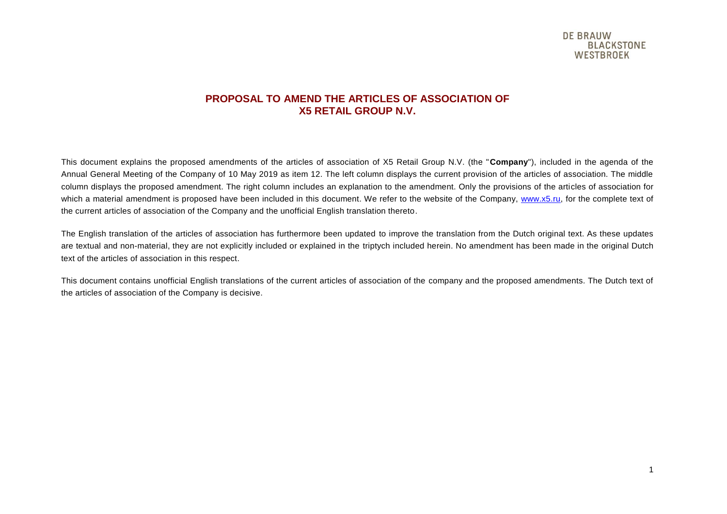#### **PROPOSAL TO AMEND THE ARTICLES OF ASSOCIATION OF X5 RETAIL GROUP N.V.**

This document explains the proposed amendments of the articles of association of X5 Retail Group N.V. (the "**Company**"), included in the agenda of the Annual General Meeting of the Company of 10 May 2019 as item 12. The left column displays the current provision of the articles of association. The middle column displays the proposed amendment. The right column includes an explanation to the amendment. Only the provisions of the articles of association for which a material amendment is proposed have been included in this document. We refer to the website of the Company, [www.x5.ru,](http://www.x5.ru/) for the complete text of the current articles of association of the Company and the unofficial English translation thereto.

The English translation of the articles of association has furthermore been updated to improve the translation from the Dutch original text. As these updates are textual and non-material, they are not explicitly included or explained in the triptych included herein. No amendment has been made in the original Dutch text of the articles of association in this respect.

This document contains unofficial English translations of the current articles of association of the company and the proposed amendments. The Dutch text of the articles of association of the Company is decisive.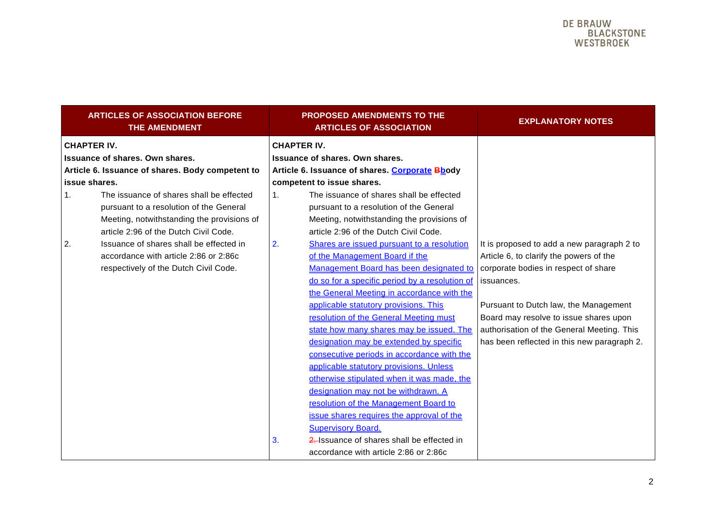| <b>ARTICLES OF ASSOCIATION BEFORE</b><br><b>THE AMENDMENT</b> |    | <b>PROPOSED AMENDMENTS TO THE</b><br><b>ARTICLES OF ASSOCIATION</b> | <b>EXPLANATORY NOTES</b>                    |
|---------------------------------------------------------------|----|---------------------------------------------------------------------|---------------------------------------------|
| <b>CHAPTER IV.</b>                                            |    | <b>CHAPTER IV.</b>                                                  |                                             |
| Issuance of shares. Own shares.                               |    | Issuance of shares. Own shares.                                     |                                             |
| Article 6. Issuance of shares. Body competent to              |    | Article 6. Issuance of shares. Corporate Bbody                      |                                             |
| issue shares.                                                 |    | competent to issue shares.                                          |                                             |
| The issuance of shares shall be effected<br>1.                | 1. | The issuance of shares shall be effected                            |                                             |
| pursuant to a resolution of the General                       |    | pursuant to a resolution of the General                             |                                             |
| Meeting, notwithstanding the provisions of                    |    | Meeting, notwithstanding the provisions of                          |                                             |
| article 2:96 of the Dutch Civil Code.                         |    | article 2:96 of the Dutch Civil Code.                               |                                             |
| Issuance of shares shall be effected in<br>2.                 | 2. | Shares are issued pursuant to a resolution                          | It is proposed to add a new paragraph 2 to  |
| accordance with article 2:86 or 2:86c                         |    | of the Management Board if the                                      | Article 6, to clarify the powers of the     |
| respectively of the Dutch Civil Code.                         |    | Management Board has been designated to                             | corporate bodies in respect of share        |
|                                                               |    | do so for a specific period by a resolution of                      | issuances.                                  |
|                                                               |    | the General Meeting in accordance with the                          |                                             |
|                                                               |    | applicable statutory provisions. This                               | Pursuant to Dutch law, the Management       |
|                                                               |    | resolution of the General Meeting must                              | Board may resolve to issue shares upon      |
|                                                               |    | state how many shares may be issued. The                            | authorisation of the General Meeting. This  |
|                                                               |    | designation may be extended by specific                             | has been reflected in this new paragraph 2. |
|                                                               |    | consecutive periods in accordance with the                          |                                             |
|                                                               |    | applicable statutory provisions. Unless                             |                                             |
|                                                               |    | otherwise stipulated when it was made, the                          |                                             |
|                                                               |    | designation may not be withdrawn. A                                 |                                             |
|                                                               |    | resolution of the Management Board to                               |                                             |
|                                                               |    | issue shares requires the approval of the                           |                                             |
|                                                               |    | <b>Supervisory Board.</b>                                           |                                             |
|                                                               | 3. | 2. Issuance of shares shall be effected in                          |                                             |
|                                                               |    | accordance with article 2:86 or 2:86c                               |                                             |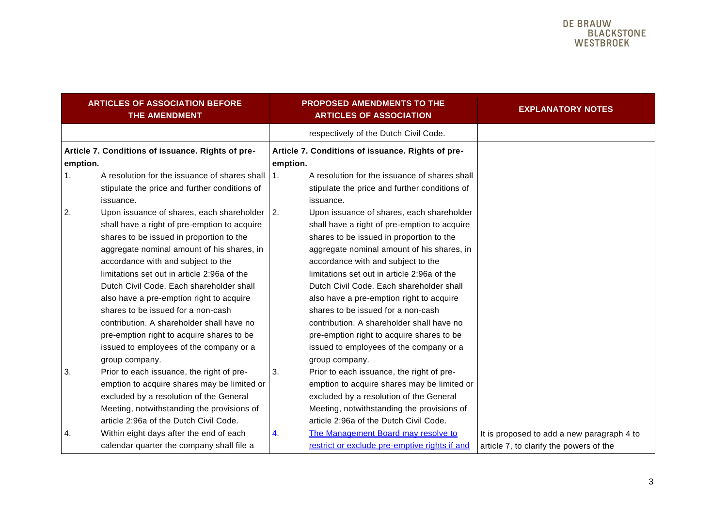| <b>ARTICLES OF ASSOCIATION BEFORE</b><br>THE AMENDMENT |                                                   |          | <b>PROPOSED AMENDMENTS TO THE</b><br><b>ARTICLES OF ASSOCIATION</b> | <b>EXPLANATORY NOTES</b>                   |
|--------------------------------------------------------|---------------------------------------------------|----------|---------------------------------------------------------------------|--------------------------------------------|
|                                                        |                                                   |          | respectively of the Dutch Civil Code.                               |                                            |
|                                                        | Article 7. Conditions of issuance. Rights of pre- |          | Article 7. Conditions of issuance. Rights of pre-                   |                                            |
| emption.                                               |                                                   | emption. |                                                                     |                                            |
| 1.                                                     | A resolution for the issuance of shares shall     | 1.       | A resolution for the issuance of shares shall                       |                                            |
|                                                        | stipulate the price and further conditions of     |          | stipulate the price and further conditions of                       |                                            |
|                                                        | issuance.                                         |          | issuance.                                                           |                                            |
| 2.                                                     | Upon issuance of shares, each shareholder 2.      |          | Upon issuance of shares, each shareholder                           |                                            |
|                                                        | shall have a right of pre-emption to acquire      |          | shall have a right of pre-emption to acquire                        |                                            |
|                                                        | shares to be issued in proportion to the          |          | shares to be issued in proportion to the                            |                                            |
|                                                        | aggregate nominal amount of his shares, in        |          | aggregate nominal amount of his shares, in                          |                                            |
|                                                        | accordance with and subject to the                |          | accordance with and subject to the                                  |                                            |
|                                                        | limitations set out in article 2:96a of the       |          | limitations set out in article 2:96a of the                         |                                            |
|                                                        | Dutch Civil Code. Each shareholder shall          |          | Dutch Civil Code. Each shareholder shall                            |                                            |
|                                                        | also have a pre-emption right to acquire          |          | also have a pre-emption right to acquire                            |                                            |
|                                                        | shares to be issued for a non-cash                |          | shares to be issued for a non-cash                                  |                                            |
|                                                        | contribution. A shareholder shall have no         |          | contribution. A shareholder shall have no                           |                                            |
|                                                        | pre-emption right to acquire shares to be         |          | pre-emption right to acquire shares to be                           |                                            |
|                                                        | issued to employees of the company or a           |          | issued to employees of the company or a                             |                                            |
|                                                        | group company.                                    |          | group company.                                                      |                                            |
| 3.                                                     | Prior to each issuance, the right of pre-         | 3.       | Prior to each issuance, the right of pre-                           |                                            |
|                                                        | emption to acquire shares may be limited or       |          | emption to acquire shares may be limited or                         |                                            |
|                                                        | excluded by a resolution of the General           |          | excluded by a resolution of the General                             |                                            |
|                                                        | Meeting, notwithstanding the provisions of        |          | Meeting, notwithstanding the provisions of                          |                                            |
|                                                        | article 2:96a of the Dutch Civil Code.            |          | article 2:96a of the Dutch Civil Code.                              |                                            |
| 4.                                                     | Within eight days after the end of each           | 4.       | The Management Board may resolve to                                 | It is proposed to add a new paragraph 4 to |
|                                                        | calendar quarter the company shall file a         |          | restrict or exclude pre-emptive rights if and                       | article 7, to clarify the powers of the    |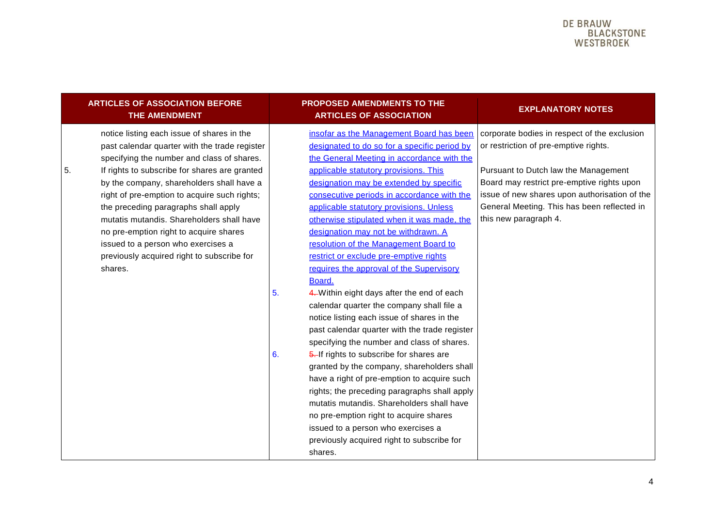#### DE BRAIJW **BLACKSTONE** WESTBROFK

| <b>ARTICLES OF ASSOCIATION BEFORE</b> |
|---------------------------------------|
| THE AMENDMENT'                        |

notice listing each issue of shares in the past calendar quarter with the trade register specifying the number and class of shares. 5. If rights to subscribe for shares are granted by the company, shareholders shall have a right of pre-emption to acquire such rights; the preceding paragraphs shall apply mutatis mutandis. Shareholders shall have no pre-emption right to acquire shares issued to a person who exercises a previously acquired right to subscribe for shares.

#### **PROPOSED AMENDMENTS TO THE ARTICLES OF ASSOCIATION EXPLANATORY NOTES**

insofar as the Management Board has been designated to do so for a specific period by the General Meeting in accordance with the applicable statutory provisions. This designation may be extended by specific consecutive periods in accordance with the applicable statutory provisions. Unless otherwise stipulated when it was made, the designation may not be withdrawn. A resolution of the Management Board to restrict or exclude pre-emptive rights requires the approval of the Supervisory Board.

- 5. 4. Within eight days after the end of each calendar quarter the company shall file a notice listing each issue of shares in the past calendar quarter with the trade register specifying the number and class of shares.
- 6. 5. If rights to subscribe for shares are granted by the company, shareholders shall have a right of pre-emption to acquire such rights; the preceding paragraphs shall apply mutatis mutandis. Shareholders shall have no pre-emption right to acquire shares issued to a person who exercises a previously acquired right to subscribe for shares.

corporate bodies in respect of the exclusion or restriction of pre-emptive rights.

Pursuant to Dutch law the Management Board may restrict pre-emptive rights upon issue of new shares upon authorisation of the General Meeting. This has been reflected in this new paragraph 4.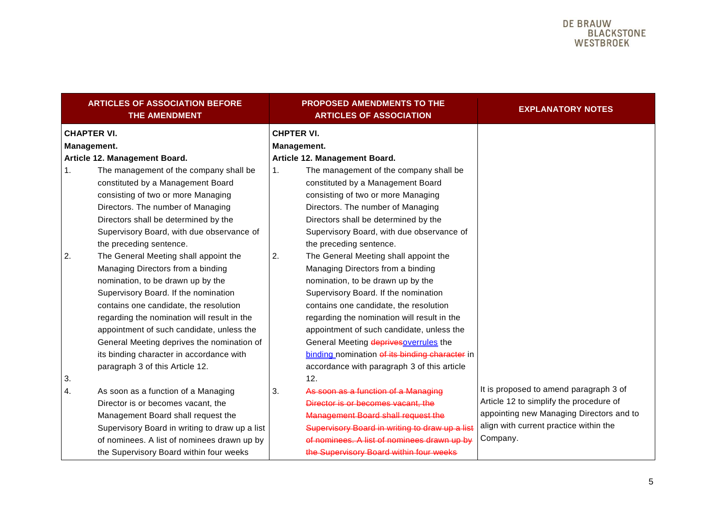|                                   | <b>ARTICLES OF ASSOCIATION BEFORE</b><br><b>THE AMENDMENT</b>                                                                                                                                                                                                                                                                                                                                                              |                                  | <b>PROPOSED AMENDMENTS TO THE</b><br><b>ARTICLES OF ASSOCIATION</b>                                                                                                                                                                                                                                                                                                                                                                      | <b>EXPLANATORY NOTES</b>                                                                                                                                                            |
|-----------------------------------|----------------------------------------------------------------------------------------------------------------------------------------------------------------------------------------------------------------------------------------------------------------------------------------------------------------------------------------------------------------------------------------------------------------------------|----------------------------------|------------------------------------------------------------------------------------------------------------------------------------------------------------------------------------------------------------------------------------------------------------------------------------------------------------------------------------------------------------------------------------------------------------------------------------------|-------------------------------------------------------------------------------------------------------------------------------------------------------------------------------------|
| <b>CHAPTER VI.</b><br>Management. |                                                                                                                                                                                                                                                                                                                                                                                                                            | <b>CHPTER VI.</b><br>Management. |                                                                                                                                                                                                                                                                                                                                                                                                                                          |                                                                                                                                                                                     |
|                                   | Article 12. Management Board.                                                                                                                                                                                                                                                                                                                                                                                              |                                  | Article 12. Management Board.                                                                                                                                                                                                                                                                                                                                                                                                            |                                                                                                                                                                                     |
| 1.                                | The management of the company shall be<br>constituted by a Management Board<br>consisting of two or more Managing<br>Directors. The number of Managing<br>Directors shall be determined by the                                                                                                                                                                                                                             | 1.                               | The management of the company shall be<br>constituted by a Management Board<br>consisting of two or more Managing<br>Directors. The number of Managing<br>Directors shall be determined by the                                                                                                                                                                                                                                           |                                                                                                                                                                                     |
|                                   | Supervisory Board, with due observance of<br>the preceding sentence.                                                                                                                                                                                                                                                                                                                                                       |                                  | Supervisory Board, with due observance of<br>the preceding sentence.                                                                                                                                                                                                                                                                                                                                                                     |                                                                                                                                                                                     |
| 2.                                | The General Meeting shall appoint the<br>Managing Directors from a binding<br>nomination, to be drawn up by the<br>Supervisory Board. If the nomination<br>contains one candidate, the resolution<br>regarding the nomination will result in the<br>appointment of such candidate, unless the<br>General Meeting deprives the nomination of<br>its binding character in accordance with<br>paragraph 3 of this Article 12. | 2.                               | The General Meeting shall appoint the<br>Managing Directors from a binding<br>nomination, to be drawn up by the<br>Supervisory Board. If the nomination<br>contains one candidate, the resolution<br>regarding the nomination will result in the<br>appointment of such candidate, unless the<br>General Meeting deprives overrules the<br>binding nomination of its binding character in<br>accordance with paragraph 3 of this article |                                                                                                                                                                                     |
| 3.<br>4.                          | As soon as a function of a Managing<br>Director is or becomes vacant, the<br>Management Board shall request the<br>Supervisory Board in writing to draw up a list<br>of nominees. A list of nominees drawn up by<br>the Supervisory Board within four weeks                                                                                                                                                                | 3.                               | 12.<br>As soon as a function of a Managing<br>Director is or becomes vacant, the<br><b>Management Board shall request the</b><br>Supervisory Board in writing to draw up a list<br>of nominees. A list of nominees drawn up by<br>the Supervisory Board within four weeks                                                                                                                                                                | It is proposed to amend paragraph 3 of<br>Article 12 to simplify the procedure of<br>appointing new Managing Directors and to<br>align with current practice within the<br>Company. |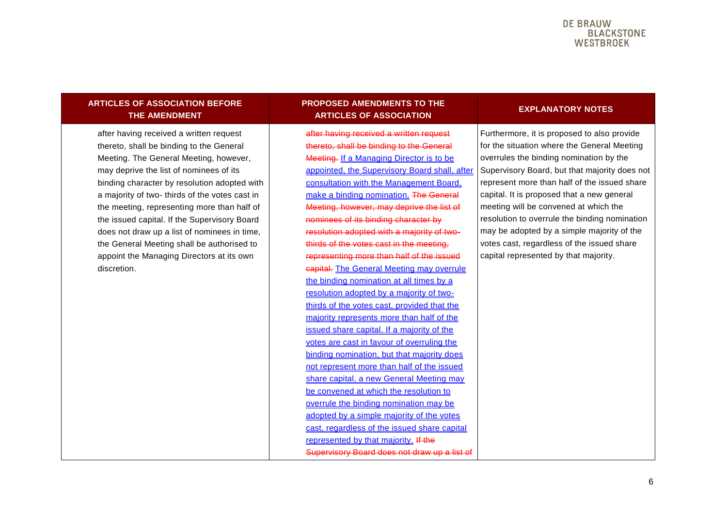#### DE BRAIJW **BLACKSTONE** WESTBROFK

#### **ARTICLES OF ASSOCIATION BEFORE THE AMENDMENT**

after having received a written request thereto, shall be binding to the General Meeting. The General Meeting, however, may deprive the list of nominees of its binding character by resolution adopted with a majority of two- thirds of the votes cast in the meeting, representing more than half of the issued capital. If the Supervisory Board does not draw up a list of nominees in time, the General Meeting shall be authorised to appoint the Managing Directors at its own discretion.

#### **PROPOSED AMENDMENTS TO THE ARTICLES OF ASSOCIATION EXPLANATORY NOTES**

after having received a written request thereto, shall be binding to the General Meeting. If a Managing Director is to be appointed, the Supervisory Board shall, after consultation with the Management Board, make a binding nomination. The General Meeting, however, may deprive the list of nominees of its binding character by resolution adopted with a majority of twothirds of the votes cast in the meeting, representing more than half of the issued capital. The General Meeting may overrule the binding nomination at all times by a resolution adopted by a majority of twothirds of the votes cast, provided that the majority represents more than half of the issued share capital. If a majority of the votes are cast in favour of overruling the binding nomination, but that majority does not represent more than half of the issued share capital, a new General Meeting may be convened at which the resolution to overrule the binding nomination may be adopted by a simple majority of the votes cast, regardless of the issued share capital represented by that majority. If the Supervisory Board does not draw up a list of

Furthermore, it is proposed to also provide for the situation where the General Meeting overrules the binding nomination by the Supervisory Board, but that majority does not represent more than half of the issued share capital. It is proposed that a new general meeting will be convened at which the resolution to overrule the binding nomination may be adopted by a simple majority of the votes cast, regardless of the issued share capital represented by that majority.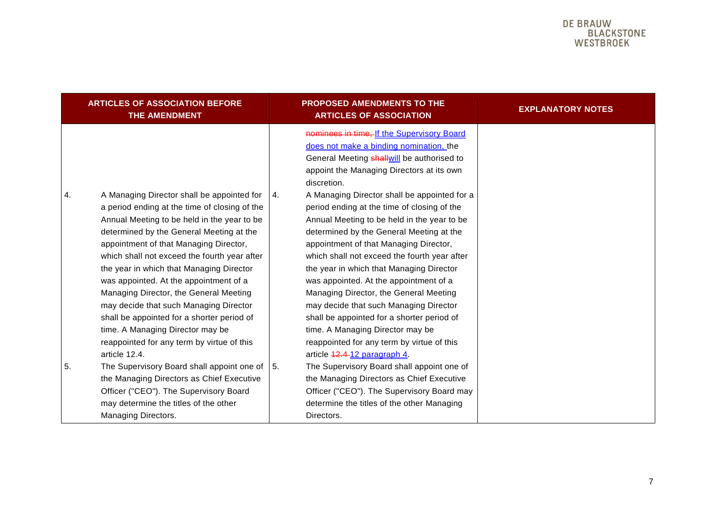|    | <b>ARTICLES OF ASSOCIATION BEFORE</b><br>THE AMENDMENT                                                                                                                                                                                                                                                                                                                                                                                                                                                                                                                                                      |           | <b>PROPOSED AMENDMENTS TO THE</b><br><b>ARTICLES OF ASSOCIATION</b>                                                                                                                                                                                                                                                                                                                                                                                                                                                                                                                                                        | <b>EXPLANATORY NOTES</b> |
|----|-------------------------------------------------------------------------------------------------------------------------------------------------------------------------------------------------------------------------------------------------------------------------------------------------------------------------------------------------------------------------------------------------------------------------------------------------------------------------------------------------------------------------------------------------------------------------------------------------------------|-----------|----------------------------------------------------------------------------------------------------------------------------------------------------------------------------------------------------------------------------------------------------------------------------------------------------------------------------------------------------------------------------------------------------------------------------------------------------------------------------------------------------------------------------------------------------------------------------------------------------------------------------|--------------------------|
|    |                                                                                                                                                                                                                                                                                                                                                                                                                                                                                                                                                                                                             |           | nominees in time, If the Supervisory Board<br>does not make a binding nomination, the<br>General Meeting <b>shall will</b> be authorised to<br>appoint the Managing Directors at its own<br>discretion.                                                                                                                                                                                                                                                                                                                                                                                                                    |                          |
| 4. | A Managing Director shall be appointed for<br>a period ending at the time of closing of the<br>Annual Meeting to be held in the year to be<br>determined by the General Meeting at the<br>appointment of that Managing Director,<br>which shall not exceed the fourth year after<br>the year in which that Managing Director<br>was appointed. At the appointment of a<br>Managing Director, the General Meeting<br>may decide that such Managing Director<br>shall be appointed for a shorter period of<br>time. A Managing Director may be<br>reappointed for any term by virtue of this<br>article 12.4. | <b>4.</b> | A Managing Director shall be appointed for a<br>period ending at the time of closing of the<br>Annual Meeting to be held in the year to be<br>determined by the General Meeting at the<br>appointment of that Managing Director,<br>which shall not exceed the fourth year after<br>the year in which that Managing Director<br>was appointed. At the appointment of a<br>Managing Director, the General Meeting<br>may decide that such Managing Director<br>shall be appointed for a shorter period of<br>time. A Managing Director may be<br>reappointed for any term by virtue of this<br>article 42.4-12 paragraph 4. |                          |
| 5. | The Supervisory Board shall appoint one of $\vert$ 5.<br>the Managing Directors as Chief Executive<br>Officer ("CEO"). The Supervisory Board<br>may determine the titles of the other<br>Managing Directors.                                                                                                                                                                                                                                                                                                                                                                                                |           | The Supervisory Board shall appoint one of<br>the Managing Directors as Chief Executive<br>Officer ("CEO"). The Supervisory Board may<br>determine the titles of the other Managing<br>Directors.                                                                                                                                                                                                                                                                                                                                                                                                                          |                          |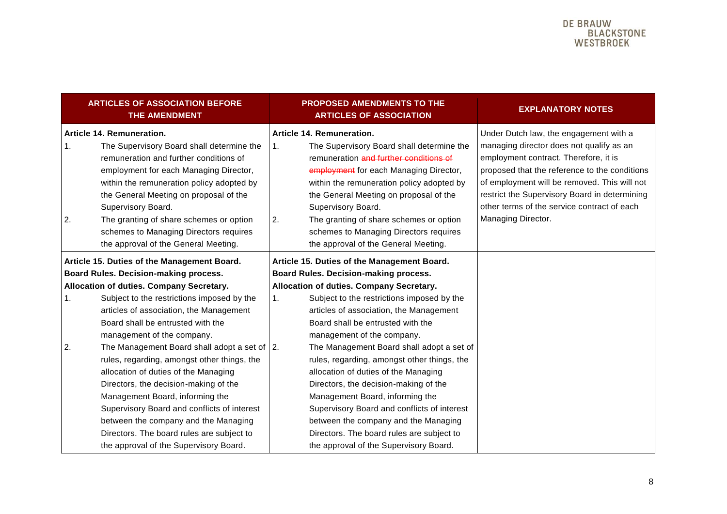|          | <b>ARTICLES OF ASSOCIATION BEFORE</b><br><b>THE AMENDMENT</b>                                                                                                                                                                                                                                                                                                                                         |                | <b>PROPOSED AMENDMENTS TO THE</b><br><b>ARTICLES OF ASSOCIATION</b>                                                                                                                                                                                                                                                                                                                                  | <b>EXPLANATORY NOTES</b>                                                                                                                                                                                                                                                                                                                           |
|----------|-------------------------------------------------------------------------------------------------------------------------------------------------------------------------------------------------------------------------------------------------------------------------------------------------------------------------------------------------------------------------------------------------------|----------------|------------------------------------------------------------------------------------------------------------------------------------------------------------------------------------------------------------------------------------------------------------------------------------------------------------------------------------------------------------------------------------------------------|----------------------------------------------------------------------------------------------------------------------------------------------------------------------------------------------------------------------------------------------------------------------------------------------------------------------------------------------------|
| 1.<br>2. | Article 14. Remuneration.<br>The Supervisory Board shall determine the<br>remuneration and further conditions of<br>employment for each Managing Director,<br>within the remuneration policy adopted by<br>the General Meeting on proposal of the<br>Supervisory Board.<br>The granting of share schemes or option<br>schemes to Managing Directors requires<br>the approval of the General Meeting.  | 1.<br>2.       | Article 14. Remuneration.<br>The Supervisory Board shall determine the<br>remuneration and further conditions of<br>employment for each Managing Director,<br>within the remuneration policy adopted by<br>the General Meeting on proposal of the<br>Supervisory Board.<br>The granting of share schemes or option<br>schemes to Managing Directors requires<br>the approval of the General Meeting. | Under Dutch law, the engagement with a<br>managing director does not qualify as an<br>employment contract. Therefore, it is<br>proposed that the reference to the conditions<br>of employment will be removed. This will not<br>restrict the Supervisory Board in determining<br>other terms of the service contract of each<br>Managing Director. |
|          | Article 15. Duties of the Management Board.<br>Board Rules. Decision-making process.                                                                                                                                                                                                                                                                                                                  |                | Article 15. Duties of the Management Board.<br>Board Rules. Decision-making process.                                                                                                                                                                                                                                                                                                                 |                                                                                                                                                                                                                                                                                                                                                    |
|          | Allocation of duties. Company Secretary.                                                                                                                                                                                                                                                                                                                                                              |                | Allocation of duties. Company Secretary.                                                                                                                                                                                                                                                                                                                                                             |                                                                                                                                                                                                                                                                                                                                                    |
| 1.       | Subject to the restrictions imposed by the<br>articles of association, the Management<br>Board shall be entrusted with the<br>management of the company.                                                                                                                                                                                                                                              | 1 <sub>1</sub> | Subject to the restrictions imposed by the<br>articles of association, the Management<br>Board shall be entrusted with the<br>management of the company.                                                                                                                                                                                                                                             |                                                                                                                                                                                                                                                                                                                                                    |
| 2.       | The Management Board shall adopt a set of $\vert$ 2.<br>rules, regarding, amongst other things, the<br>allocation of duties of the Managing<br>Directors, the decision-making of the<br>Management Board, informing the<br>Supervisory Board and conflicts of interest<br>between the company and the Managing<br>Directors. The board rules are subject to<br>the approval of the Supervisory Board. |                | The Management Board shall adopt a set of<br>rules, regarding, amongst other things, the<br>allocation of duties of the Managing<br>Directors, the decision-making of the<br>Management Board, informing the<br>Supervisory Board and conflicts of interest<br>between the company and the Managing<br>Directors. The board rules are subject to<br>the approval of the Supervisory Board.           |                                                                                                                                                                                                                                                                                                                                                    |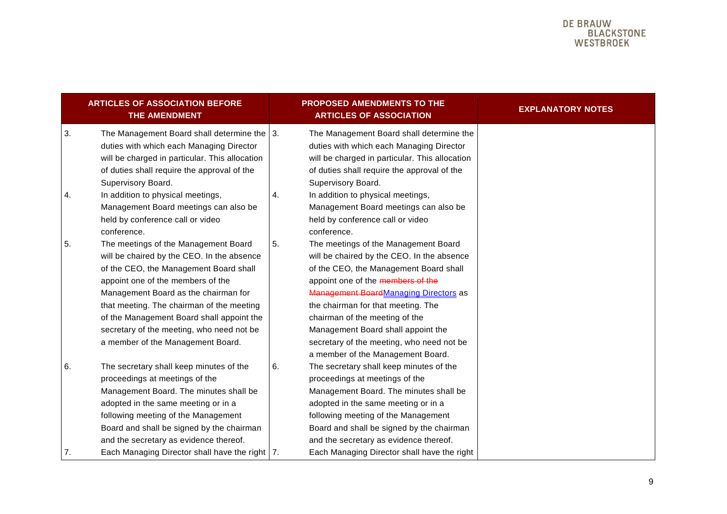|          | <b>ARTICLES OF ASSOCIATION BEFORE</b><br><b>THE AMENDMENT</b>                                                                                                                                                                                                                                                                                                                         |    | <b>PROPOSED AMENDMENTS TO THE</b><br><b>ARTICLES OF ASSOCIATION</b>                                                                                                                                                                                                                                                                                                                                        | <b>EXPLANATORY NOTES</b> |
|----------|---------------------------------------------------------------------------------------------------------------------------------------------------------------------------------------------------------------------------------------------------------------------------------------------------------------------------------------------------------------------------------------|----|------------------------------------------------------------------------------------------------------------------------------------------------------------------------------------------------------------------------------------------------------------------------------------------------------------------------------------------------------------------------------------------------------------|--------------------------|
| 3.       | The Management Board shall determine the $ 3$ .<br>duties with which each Managing Director<br>will be charged in particular. This allocation<br>of duties shall require the approval of the<br>Supervisory Board.                                                                                                                                                                    |    | The Management Board shall determine the<br>duties with which each Managing Director<br>will be charged in particular. This allocation<br>of duties shall require the approval of the<br>Supervisory Board.                                                                                                                                                                                                |                          |
| 4.       | In addition to physical meetings,<br>Management Board meetings can also be<br>held by conference call or video<br>conference.                                                                                                                                                                                                                                                         | 4. | In addition to physical meetings,<br>Management Board meetings can also be<br>held by conference call or video<br>conference.                                                                                                                                                                                                                                                                              |                          |
| 5.       | The meetings of the Management Board<br>will be chaired by the CEO. In the absence<br>of the CEO, the Management Board shall<br>appoint one of the members of the<br>Management Board as the chairman for<br>that meeting. The chairman of the meeting<br>of the Management Board shall appoint the<br>secretary of the meeting, who need not be<br>a member of the Management Board. | 5. | The meetings of the Management Board<br>will be chaired by the CEO. In the absence<br>of the CEO, the Management Board shall<br>appoint one of the members of the<br>Management BoardManaging Directors as<br>the chairman for that meeting. The<br>chairman of the meeting of the<br>Management Board shall appoint the<br>secretary of the meeting, who need not be<br>a member of the Management Board. |                          |
| 6.<br>7. | The secretary shall keep minutes of the<br>proceedings at meetings of the<br>Management Board. The minutes shall be<br>adopted in the same meeting or in a<br>following meeting of the Management<br>Board and shall be signed by the chairman<br>and the secretary as evidence thereof.<br>Each Managing Director shall have the right   7.                                          | 6. | The secretary shall keep minutes of the<br>proceedings at meetings of the<br>Management Board. The minutes shall be<br>adopted in the same meeting or in a<br>following meeting of the Management<br>Board and shall be signed by the chairman<br>and the secretary as evidence thereof.<br>Each Managing Director shall have the right                                                                    |                          |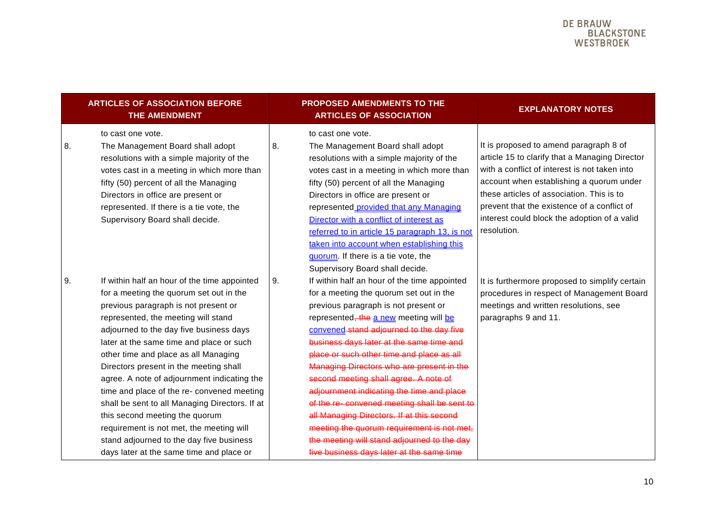|           | <b>ARTICLES OF ASSOCIATION BEFORE</b><br>THE AMENDMENT                                                                                                                                                                                                                                                                                                                                                                                                                                                                                                                                                                                                               |    | <b>PROPOSED AMENDMENTS TO THE</b><br><b>ARTICLES OF ASSOCIATION</b>                                                                                                                                                                                                                                                                                                                                                                                                                                                                                                                                                                                                                     | <b>EXPLANATORY NOTES</b>                                                                                                                                                                                                                                                                                                                         |
|-----------|----------------------------------------------------------------------------------------------------------------------------------------------------------------------------------------------------------------------------------------------------------------------------------------------------------------------------------------------------------------------------------------------------------------------------------------------------------------------------------------------------------------------------------------------------------------------------------------------------------------------------------------------------------------------|----|-----------------------------------------------------------------------------------------------------------------------------------------------------------------------------------------------------------------------------------------------------------------------------------------------------------------------------------------------------------------------------------------------------------------------------------------------------------------------------------------------------------------------------------------------------------------------------------------------------------------------------------------------------------------------------------------|--------------------------------------------------------------------------------------------------------------------------------------------------------------------------------------------------------------------------------------------------------------------------------------------------------------------------------------------------|
| 8.        | to cast one vote.<br>The Management Board shall adopt<br>resolutions with a simple majority of the<br>votes cast in a meeting in which more than<br>fifty (50) percent of all the Managing<br>Directors in office are present or<br>represented. If there is a tie vote, the<br>Supervisory Board shall decide.                                                                                                                                                                                                                                                                                                                                                      | 8. | to cast one vote.<br>The Management Board shall adopt<br>resolutions with a simple majority of the<br>votes cast in a meeting in which more than<br>fifty (50) percent of all the Managing<br>Directors in office are present or<br>represented provided that any Managing<br>Director with a conflict of interest as<br>referred to in article 15 paragraph 13, is not<br>taken into account when establishing this<br>guorum. If there is a tie vote, the<br>Supervisory Board shall decide.                                                                                                                                                                                          | It is proposed to amend paragraph 8 of<br>article 15 to clarify that a Managing Director<br>with a conflict of interest is not taken into<br>account when establishing a quorum under<br>these articles of association. This is to<br>prevent that the existence of a conflict of<br>interest could block the adoption of a valid<br>resolution. |
| <b>9.</b> | If within half an hour of the time appointed<br>for a meeting the quorum set out in the<br>previous paragraph is not present or<br>represented, the meeting will stand<br>adjourned to the day five business days<br>later at the same time and place or such<br>other time and place as all Managing<br>Directors present in the meeting shall<br>agree. A note of adjournment indicating the<br>time and place of the re- convened meeting<br>shall be sent to all Managing Directors. If at<br>this second meeting the quorum<br>requirement is not met, the meeting will<br>stand adjourned to the day five business<br>days later at the same time and place or | 9. | If within half an hour of the time appointed<br>for a meeting the quorum set out in the<br>previous paragraph is not present or<br>represented, the a new meeting will be<br>convened stand adjourned to the day five<br>business days later at the same time and<br>place or such other time and place as all<br>Managing Directors who are present in the<br>second meeting shall agree. A note of<br>adjournment indicating the time and place<br>of the re-convened meeting shall be sent to<br>all Managing Directors. If at this second<br>meeting the quorum requirement is not met,<br>the meeting will stand adjourned to the day<br>five business days later at the same time | It is furthermore proposed to simplify certain<br>procedures in respect of Management Board<br>meetings and written resolutions, see<br>paragraphs 9 and 11.                                                                                                                                                                                     |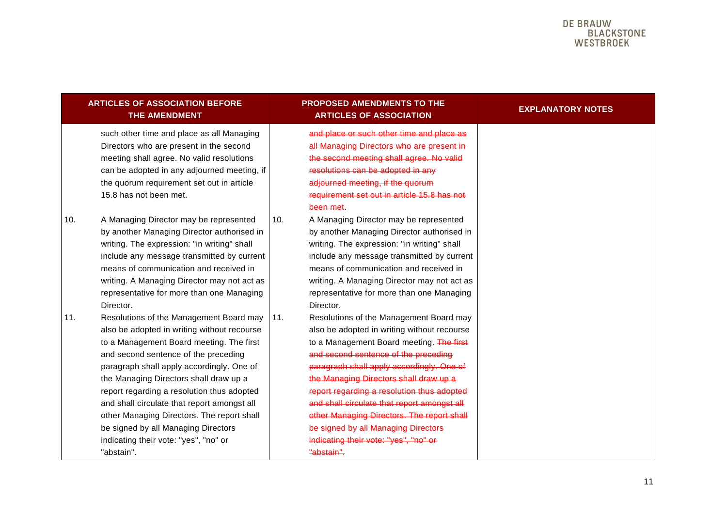|     | <b>ARTICLES OF ASSOCIATION BEFORE</b><br><b>THE AMENDMENT</b>                                                                                                                                                                                                                                                                                                                                                                                                                                              |     | <b>PROPOSED AMENDMENTS TO THE</b><br><b>ARTICLES OF ASSOCIATION</b>                                                                                                                                                                                                                                                                                                                                                                                                                                        | <b>EXPLANATORY NOTES</b> |
|-----|------------------------------------------------------------------------------------------------------------------------------------------------------------------------------------------------------------------------------------------------------------------------------------------------------------------------------------------------------------------------------------------------------------------------------------------------------------------------------------------------------------|-----|------------------------------------------------------------------------------------------------------------------------------------------------------------------------------------------------------------------------------------------------------------------------------------------------------------------------------------------------------------------------------------------------------------------------------------------------------------------------------------------------------------|--------------------------|
|     | such other time and place as all Managing<br>Directors who are present in the second<br>meeting shall agree. No valid resolutions<br>can be adopted in any adjourned meeting, if<br>the quorum requirement set out in article<br>15.8 has not been met.                                                                                                                                                                                                                                                    |     | and place or such other time and place as<br>all Managing Directors who are present in<br>the second meeting shall agree. No valid<br>resolutions can be adopted in any<br>adjourned meeting, if the quorum<br>requirement set out in article 15.8 has not<br>been met.                                                                                                                                                                                                                                    |                          |
| 10. | A Managing Director may be represented<br>by another Managing Director authorised in<br>writing. The expression: "in writing" shall<br>include any message transmitted by current<br>means of communication and received in<br>writing. A Managing Director may not act as<br>representative for more than one Managing<br>Director.                                                                                                                                                                       | 10. | A Managing Director may be represented<br>by another Managing Director authorised in<br>writing. The expression: "in writing" shall<br>include any message transmitted by current<br>means of communication and received in<br>writing. A Managing Director may not act as<br>representative for more than one Managing<br>Director.                                                                                                                                                                       |                          |
| 11. | Resolutions of the Management Board may<br>also be adopted in writing without recourse<br>to a Management Board meeting. The first<br>and second sentence of the preceding<br>paragraph shall apply accordingly. One of<br>the Managing Directors shall draw up a<br>report regarding a resolution thus adopted<br>and shall circulate that report amongst all<br>other Managing Directors. The report shall<br>be signed by all Managing Directors<br>indicating their vote: "yes", "no" or<br>"abstain". | 11. | Resolutions of the Management Board may<br>also be adopted in writing without recourse<br>to a Management Board meeting. The first<br>and second sentence of the preceding<br>paragraph shall apply accordingly. One of<br>the Managing Directors shall draw up a<br>report regarding a resolution thus adopted<br>and shall circulate that report amongst all<br>other Managing Directors. The report shall<br>be signed by all Managing Directors<br>indicating their vote: "yes", "no" or<br>"abstain". |                          |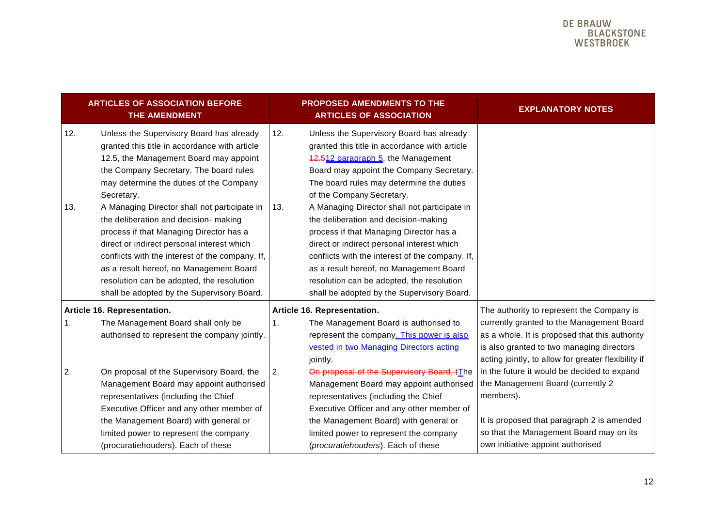|            | <b>ARTICLES OF ASSOCIATION BEFORE</b><br>THE AMENDMENT                                                                                                                                                                                                                                                                                                                                                                                                                                                                                                                                                            |            | <b>PROPOSED AMENDMENTS TO THE</b><br><b>ARTICLES OF ASSOCIATION</b>                                                                                                                                                                                                                                                                                                                                                                                                                                                                                                                                                            | <b>EXPLANATORY NOTES</b>                                                                                                                                                                                                    |
|------------|-------------------------------------------------------------------------------------------------------------------------------------------------------------------------------------------------------------------------------------------------------------------------------------------------------------------------------------------------------------------------------------------------------------------------------------------------------------------------------------------------------------------------------------------------------------------------------------------------------------------|------------|--------------------------------------------------------------------------------------------------------------------------------------------------------------------------------------------------------------------------------------------------------------------------------------------------------------------------------------------------------------------------------------------------------------------------------------------------------------------------------------------------------------------------------------------------------------------------------------------------------------------------------|-----------------------------------------------------------------------------------------------------------------------------------------------------------------------------------------------------------------------------|
| 12.<br>13. | Unless the Supervisory Board has already<br>granted this title in accordance with article<br>12.5, the Management Board may appoint<br>the Company Secretary. The board rules<br>may determine the duties of the Company<br>Secretary.<br>A Managing Director shall not participate in<br>the deliberation and decision- making<br>process if that Managing Director has a<br>direct or indirect personal interest which<br>conflicts with the interest of the company. If,<br>as a result hereof, no Management Board<br>resolution can be adopted, the resolution<br>shall be adopted by the Supervisory Board. | 12.<br>13. | Unless the Supervisory Board has already<br>granted this title in accordance with article<br>42.512 paragraph 5, the Management<br>Board may appoint the Company Secretary.<br>The board rules may determine the duties<br>of the Company Secretary.<br>A Managing Director shall not participate in<br>the deliberation and decision-making<br>process if that Managing Director has a<br>direct or indirect personal interest which<br>conflicts with the interest of the company. If,<br>as a result hereof, no Management Board<br>resolution can be adopted, the resolution<br>shall be adopted by the Supervisory Board. |                                                                                                                                                                                                                             |
|            | Article 16. Representation.                                                                                                                                                                                                                                                                                                                                                                                                                                                                                                                                                                                       |            | Article 16. Representation.                                                                                                                                                                                                                                                                                                                                                                                                                                                                                                                                                                                                    | The authority to represent the Company is                                                                                                                                                                                   |
| 1.         | The Management Board shall only be<br>authorised to represent the company jointly.                                                                                                                                                                                                                                                                                                                                                                                                                                                                                                                                | 1.         | The Management Board is authorised to<br>represent the company. This power is also<br>vested in two Managing Directors acting<br>jointly.                                                                                                                                                                                                                                                                                                                                                                                                                                                                                      | currently granted to the Management Board<br>as a whole. It is proposed that this authority<br>is also granted to two managing directors<br>acting jointly, to allow for greater flexibility if                             |
| 2.         | On proposal of the Supervisory Board, the<br>Management Board may appoint authorised<br>representatives (including the Chief<br>Executive Officer and any other member of<br>the Management Board) with general or<br>limited power to represent the company<br>(procuratiehouders). Each of these                                                                                                                                                                                                                                                                                                                | 2.         | On proposal of the Supervisory Board, tThe<br>Management Board may appoint authorised<br>representatives (including the Chief<br>Executive Officer and any other member of<br>the Management Board) with general or<br>limited power to represent the company<br>(procuratiehouders). Each of these                                                                                                                                                                                                                                                                                                                            | in the future it would be decided to expand<br>the Management Board (currently 2<br>members).<br>It is proposed that paragraph 2 is amended<br>so that the Management Board may on its<br>own initiative appoint authorised |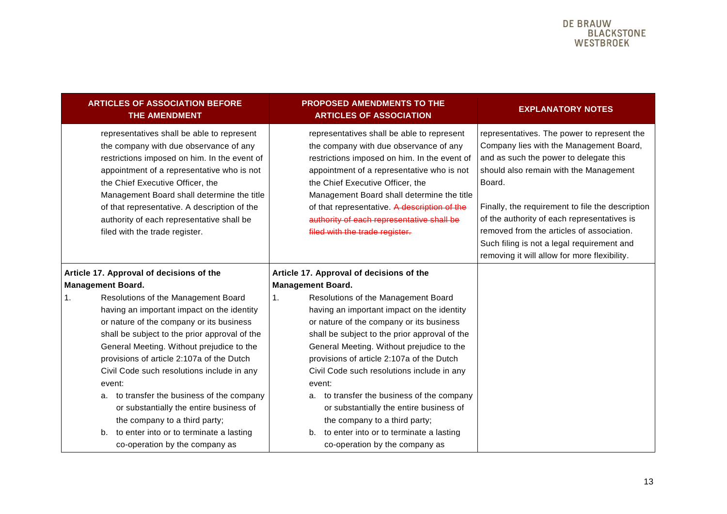| <b>ARTICLES OF ASSOCIATION BEFORE</b><br><b>THE AMENDMENT</b>                                                                                                                                                                                                                                                                                                                                       | <b>PROPOSED AMENDMENTS TO THE</b><br><b>ARTICLES OF ASSOCIATION</b>                                                                                                                                                                                                                                                                                                                                 | <b>EXPLANATORY NOTES</b>                                                                                                                                                                                                                                                                                                                                                                                                           |
|-----------------------------------------------------------------------------------------------------------------------------------------------------------------------------------------------------------------------------------------------------------------------------------------------------------------------------------------------------------------------------------------------------|-----------------------------------------------------------------------------------------------------------------------------------------------------------------------------------------------------------------------------------------------------------------------------------------------------------------------------------------------------------------------------------------------------|------------------------------------------------------------------------------------------------------------------------------------------------------------------------------------------------------------------------------------------------------------------------------------------------------------------------------------------------------------------------------------------------------------------------------------|
| representatives shall be able to represent<br>the company with due observance of any<br>restrictions imposed on him. In the event of<br>appointment of a representative who is not<br>the Chief Executive Officer, the<br>Management Board shall determine the title<br>of that representative. A description of the<br>authority of each representative shall be<br>filed with the trade register. | representatives shall be able to represent<br>the company with due observance of any<br>restrictions imposed on him. In the event of<br>appointment of a representative who is not<br>the Chief Executive Officer, the<br>Management Board shall determine the title<br>of that representative. A description of the<br>authority of each representative shall be<br>filed with the trade register. | representatives. The power to represent the<br>Company lies with the Management Board,<br>and as such the power to delegate this<br>should also remain with the Management<br>Board.<br>Finally, the requirement to file the description<br>of the authority of each representatives is<br>removed from the articles of association.<br>Such filing is not a legal requirement and<br>removing it will allow for more flexibility. |
| Article 17. Approval of decisions of the                                                                                                                                                                                                                                                                                                                                                            | Article 17. Approval of decisions of the                                                                                                                                                                                                                                                                                                                                                            |                                                                                                                                                                                                                                                                                                                                                                                                                                    |
| <b>Management Board.</b>                                                                                                                                                                                                                                                                                                                                                                            | <b>Management Board.</b>                                                                                                                                                                                                                                                                                                                                                                            |                                                                                                                                                                                                                                                                                                                                                                                                                                    |
| Resolutions of the Management Board<br>1 <sub>1</sub>                                                                                                                                                                                                                                                                                                                                               | 1.<br>Resolutions of the Management Board                                                                                                                                                                                                                                                                                                                                                           |                                                                                                                                                                                                                                                                                                                                                                                                                                    |
| having an important impact on the identity                                                                                                                                                                                                                                                                                                                                                          | having an important impact on the identity                                                                                                                                                                                                                                                                                                                                                          |                                                                                                                                                                                                                                                                                                                                                                                                                                    |
| or nature of the company or its business                                                                                                                                                                                                                                                                                                                                                            | or nature of the company or its business                                                                                                                                                                                                                                                                                                                                                            |                                                                                                                                                                                                                                                                                                                                                                                                                                    |
| shall be subject to the prior approval of the                                                                                                                                                                                                                                                                                                                                                       | shall be subject to the prior approval of the                                                                                                                                                                                                                                                                                                                                                       |                                                                                                                                                                                                                                                                                                                                                                                                                                    |
| General Meeting. Without prejudice to the                                                                                                                                                                                                                                                                                                                                                           | General Meeting. Without prejudice to the                                                                                                                                                                                                                                                                                                                                                           |                                                                                                                                                                                                                                                                                                                                                                                                                                    |
| provisions of article 2:107a of the Dutch                                                                                                                                                                                                                                                                                                                                                           | provisions of article 2:107a of the Dutch                                                                                                                                                                                                                                                                                                                                                           |                                                                                                                                                                                                                                                                                                                                                                                                                                    |
| Civil Code such resolutions include in any                                                                                                                                                                                                                                                                                                                                                          | Civil Code such resolutions include in any                                                                                                                                                                                                                                                                                                                                                          |                                                                                                                                                                                                                                                                                                                                                                                                                                    |
| event:                                                                                                                                                                                                                                                                                                                                                                                              | event:                                                                                                                                                                                                                                                                                                                                                                                              |                                                                                                                                                                                                                                                                                                                                                                                                                                    |
| a. to transfer the business of the company                                                                                                                                                                                                                                                                                                                                                          | a. to transfer the business of the company                                                                                                                                                                                                                                                                                                                                                          |                                                                                                                                                                                                                                                                                                                                                                                                                                    |
| or substantially the entire business of                                                                                                                                                                                                                                                                                                                                                             | or substantially the entire business of                                                                                                                                                                                                                                                                                                                                                             |                                                                                                                                                                                                                                                                                                                                                                                                                                    |
| the company to a third party;                                                                                                                                                                                                                                                                                                                                                                       | the company to a third party;                                                                                                                                                                                                                                                                                                                                                                       |                                                                                                                                                                                                                                                                                                                                                                                                                                    |
| to enter into or to terminate a lasting<br>b.                                                                                                                                                                                                                                                                                                                                                       | to enter into or to terminate a lasting<br>b.                                                                                                                                                                                                                                                                                                                                                       |                                                                                                                                                                                                                                                                                                                                                                                                                                    |
| co-operation by the company as                                                                                                                                                                                                                                                                                                                                                                      | co-operation by the company as                                                                                                                                                                                                                                                                                                                                                                      |                                                                                                                                                                                                                                                                                                                                                                                                                                    |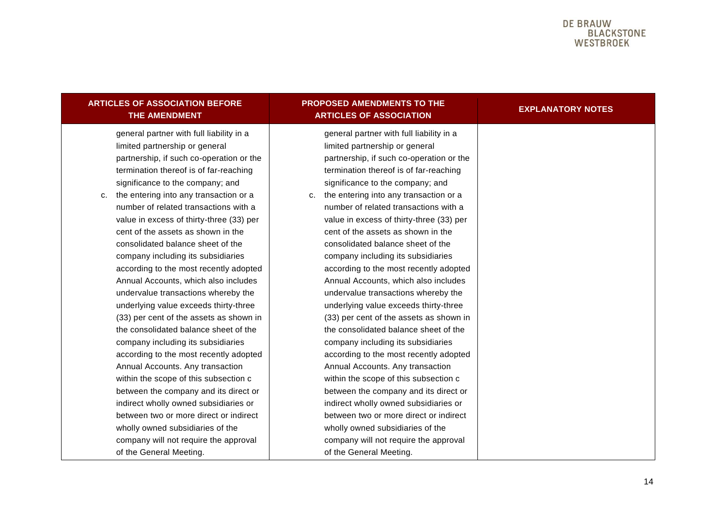| <b>ARTICLES OF ASSOCIATION BEFORE</b><br>THE AMENDMENT                                                                                                                                                       | <b>PROPOSED AMENDMENTS TO THE</b><br><b>ARTICLES OF ASSOCIATION</b>                                                                                                                                       | <b>EXPLANATORY NOTES</b> |
|--------------------------------------------------------------------------------------------------------------------------------------------------------------------------------------------------------------|-----------------------------------------------------------------------------------------------------------------------------------------------------------------------------------------------------------|--------------------------|
| general partner with full liability in a<br>limited partnership or general<br>partnership, if such co-operation or the<br>termination thereof is of far-reaching<br>significance to the company; and         | general partner with full liability in a<br>limited partnership or general<br>partnership, if such co-operation or the<br>termination thereof is of far-reaching<br>significance to the company; and      |                          |
| the entering into any transaction or a<br>c.<br>number of related transactions with a<br>value in excess of thirty-three (33) per<br>cent of the assets as shown in the<br>consolidated balance sheet of the | c. the entering into any transaction or a<br>number of related transactions with a<br>value in excess of thirty-three (33) per<br>cent of the assets as shown in the<br>consolidated balance sheet of the |                          |
| company including its subsidiaries<br>according to the most recently adopted<br>Annual Accounts, which also includes<br>undervalue transactions whereby the<br>underlying value exceeds thirty-three         | company including its subsidiaries<br>according to the most recently adopted<br>Annual Accounts, which also includes<br>undervalue transactions whereby the<br>underlying value exceeds thirty-three      |                          |
| (33) per cent of the assets as shown in<br>the consolidated balance sheet of the<br>company including its subsidiaries<br>according to the most recently adopted<br>Annual Accounts. Any transaction         | (33) per cent of the assets as shown in<br>the consolidated balance sheet of the<br>company including its subsidiaries<br>according to the most recently adopted<br>Annual Accounts. Any transaction      |                          |
| within the scope of this subsection c<br>between the company and its direct or<br>indirect wholly owned subsidiaries or<br>between two or more direct or indirect<br>wholly owned subsidiaries of the        | within the scope of this subsection c<br>between the company and its direct or<br>indirect wholly owned subsidiaries or<br>between two or more direct or indirect<br>wholly owned subsidiaries of the     |                          |
| company will not require the approval<br>of the General Meeting.                                                                                                                                             | company will not require the approval<br>of the General Meeting.                                                                                                                                          |                          |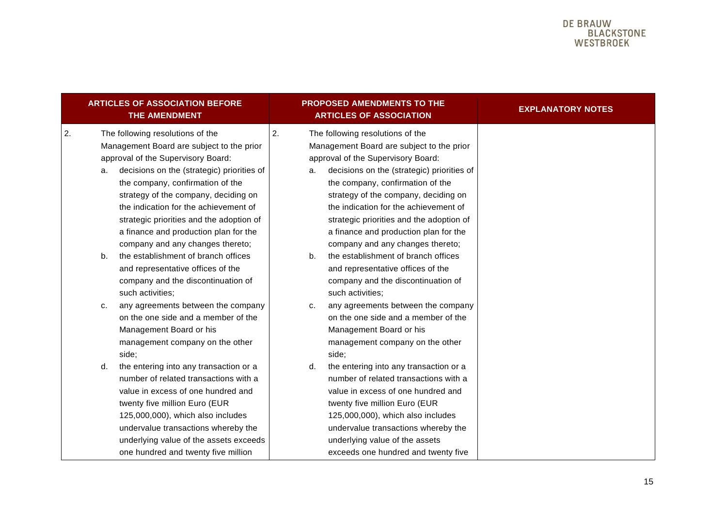|          | <b>ARTICLES OF ASSOCIATION BEFORE</b><br><b>THE AMENDMENT</b>                                                                                                                                                                                                                                                                                                               |          | PROPOSED AMENDMENTS TO THE<br><b>ARTICLES OF ASSOCIATION</b>                                                                                                                                                                                                                                                                                                                | <b>EXPLANATORY NOTES</b> |
|----------|-----------------------------------------------------------------------------------------------------------------------------------------------------------------------------------------------------------------------------------------------------------------------------------------------------------------------------------------------------------------------------|----------|-----------------------------------------------------------------------------------------------------------------------------------------------------------------------------------------------------------------------------------------------------------------------------------------------------------------------------------------------------------------------------|--------------------------|
| 2.<br>a. | The following resolutions of the<br>Management Board are subject to the prior<br>approval of the Supervisory Board:<br>decisions on the (strategic) priorities of<br>the company, confirmation of the<br>strategy of the company, deciding on<br>the indication for the achievement of<br>strategic priorities and the adoption of<br>a finance and production plan for the | 2.<br>a. | The following resolutions of the<br>Management Board are subject to the prior<br>approval of the Supervisory Board:<br>decisions on the (strategic) priorities of<br>the company, confirmation of the<br>strategy of the company, deciding on<br>the indication for the achievement of<br>strategic priorities and the adoption of<br>a finance and production plan for the |                          |
| b.<br>c. | company and any changes thereto;<br>the establishment of branch offices<br>and representative offices of the<br>company and the discontinuation of<br>such activities;<br>any agreements between the company                                                                                                                                                                | b.<br>c. | company and any changes thereto;<br>the establishment of branch offices<br>and representative offices of the<br>company and the discontinuation of<br>such activities;<br>any agreements between the company                                                                                                                                                                |                          |
|          | on the one side and a member of the<br>Management Board or his<br>management company on the other<br>side;                                                                                                                                                                                                                                                                  |          | on the one side and a member of the<br>Management Board or his<br>management company on the other<br>side;                                                                                                                                                                                                                                                                  |                          |
| d.       | the entering into any transaction or a<br>number of related transactions with a<br>value in excess of one hundred and<br>twenty five million Euro (EUR<br>125,000,000), which also includes<br>undervalue transactions whereby the<br>underlying value of the assets exceeds<br>one hundred and twenty five million                                                         | d.       | the entering into any transaction or a<br>number of related transactions with a<br>value in excess of one hundred and<br>twenty five million Euro (EUR<br>125,000,000), which also includes<br>undervalue transactions whereby the<br>underlying value of the assets<br>exceeds one hundred and twenty five                                                                 |                          |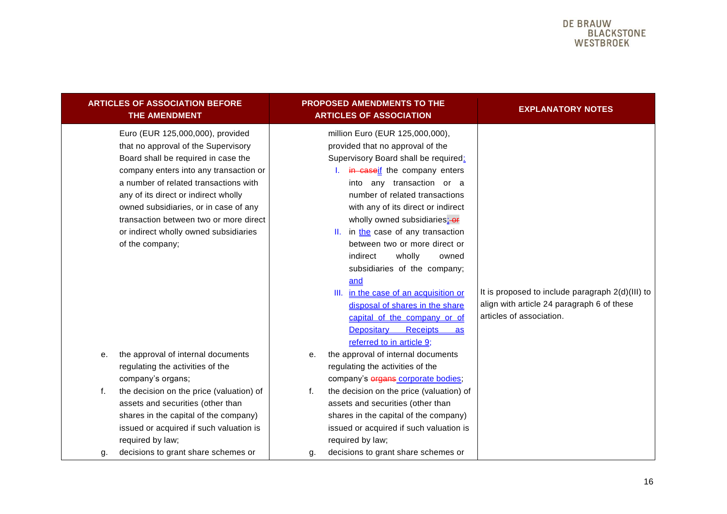|          | <b>ARTICLES OF ASSOCIATION BEFORE</b><br><b>THE AMENDMENT</b>                                                                                                                                                                                                                                                                                                                            |          | PROPOSED AMENDMENTS TO THE<br><b>ARTICLES OF ASSOCIATION</b>                                                                                                                                                                                                                                                                                                                                                                                                                                                                                                                                                             | <b>EXPLANATORY NOTES</b>                                                                                                   |
|----------|------------------------------------------------------------------------------------------------------------------------------------------------------------------------------------------------------------------------------------------------------------------------------------------------------------------------------------------------------------------------------------------|----------|--------------------------------------------------------------------------------------------------------------------------------------------------------------------------------------------------------------------------------------------------------------------------------------------------------------------------------------------------------------------------------------------------------------------------------------------------------------------------------------------------------------------------------------------------------------------------------------------------------------------------|----------------------------------------------------------------------------------------------------------------------------|
|          | Euro (EUR 125,000,000), provided<br>that no approval of the Supervisory<br>Board shall be required in case the<br>company enters into any transaction or<br>a number of related transactions with<br>any of its direct or indirect wholly<br>owned subsidiaries, or in case of any<br>transaction between two or more direct<br>or indirect wholly owned subsidiaries<br>of the company; |          | million Euro (EUR 125,000,000),<br>provided that no approval of the<br>Supervisory Board shall be required:<br>I. in caseif the company enters<br>into any transaction or a<br>number of related transactions<br>with any of its direct or indirect<br>wholly owned subsidiaries: or<br>II. in the case of any transaction<br>between two or more direct or<br>indirect<br>wholly<br>owned<br>subsidiaries of the company;<br>and<br>III. in the case of an acquisition or<br>disposal of shares in the share<br>capital of the company or of<br><b>Receipts</b><br>Depositary<br><u>as</u><br>referred to in article 9; | It is proposed to include paragraph 2(d)(III) to<br>align with article 24 paragraph 6 of these<br>articles of association. |
| е.       | the approval of internal documents<br>regulating the activities of the<br>company's organs;                                                                                                                                                                                                                                                                                              | е.       | the approval of internal documents<br>regulating the activities of the<br>company's organs corporate bodies;                                                                                                                                                                                                                                                                                                                                                                                                                                                                                                             |                                                                                                                            |
| f.<br>g. | the decision on the price (valuation) of<br>assets and securities (other than<br>shares in the capital of the company)<br>issued or acquired if such valuation is<br>required by law;<br>decisions to grant share schemes or                                                                                                                                                             | f.<br>g. | the decision on the price (valuation) of<br>assets and securities (other than<br>shares in the capital of the company)<br>issued or acquired if such valuation is<br>required by law;<br>decisions to grant share schemes or                                                                                                                                                                                                                                                                                                                                                                                             |                                                                                                                            |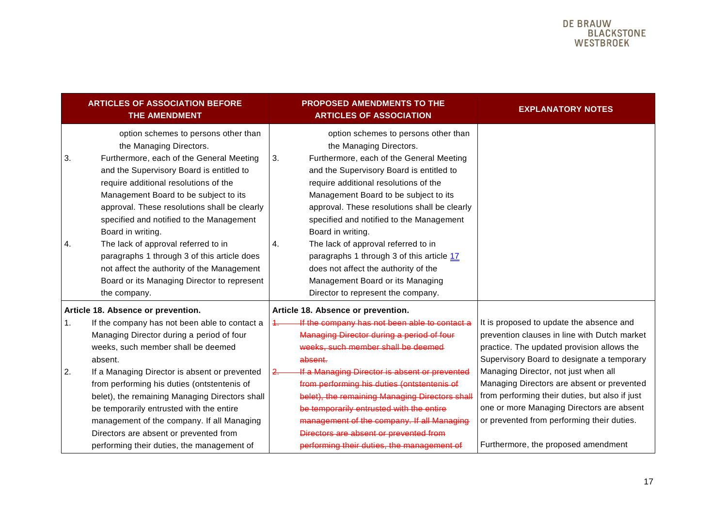| <b>ARTICLES OF ASSOCIATION BEFORE</b><br><b>THE AMENDMENT</b>                                                                                                                                                                                                                                                                                                                                                                                                                                              | <b>PROPOSED AMENDMENTS TO THE</b><br><b>ARTICLES OF ASSOCIATION</b>                                                                                                                                                                                                                                                                                                                                                                                                                                | <b>EXPLANATORY NOTES</b>                                                                                                                                                                                                                                                                                             |
|------------------------------------------------------------------------------------------------------------------------------------------------------------------------------------------------------------------------------------------------------------------------------------------------------------------------------------------------------------------------------------------------------------------------------------------------------------------------------------------------------------|----------------------------------------------------------------------------------------------------------------------------------------------------------------------------------------------------------------------------------------------------------------------------------------------------------------------------------------------------------------------------------------------------------------------------------------------------------------------------------------------------|----------------------------------------------------------------------------------------------------------------------------------------------------------------------------------------------------------------------------------------------------------------------------------------------------------------------|
| option schemes to persons other than<br>the Managing Directors.<br>3.<br>Furthermore, each of the General Meeting<br>and the Supervisory Board is entitled to<br>require additional resolutions of the<br>Management Board to be subject to its<br>approval. These resolutions shall be clearly<br>specified and notified to the Management<br>Board in writing.<br>The lack of approval referred to in<br>4.<br>paragraphs 1 through 3 of this article does<br>not affect the authority of the Management | option schemes to persons other than<br>the Managing Directors.<br>Furthermore, each of the General Meeting<br>3.<br>and the Supervisory Board is entitled to<br>require additional resolutions of the<br>Management Board to be subject to its<br>approval. These resolutions shall be clearly<br>specified and notified to the Management<br>Board in writing.<br>The lack of approval referred to in<br>4.<br>paragraphs 1 through 3 of this article 17<br>does not affect the authority of the |                                                                                                                                                                                                                                                                                                                      |
| Board or its Managing Director to represent<br>the company.                                                                                                                                                                                                                                                                                                                                                                                                                                                | Management Board or its Managing<br>Director to represent the company.                                                                                                                                                                                                                                                                                                                                                                                                                             |                                                                                                                                                                                                                                                                                                                      |
| Article 18. Absence or prevention.                                                                                                                                                                                                                                                                                                                                                                                                                                                                         | Article 18. Absence or prevention.                                                                                                                                                                                                                                                                                                                                                                                                                                                                 |                                                                                                                                                                                                                                                                                                                      |
| 1.<br>If the company has not been able to contact a<br>Managing Director during a period of four                                                                                                                                                                                                                                                                                                                                                                                                           | If the company has not been able to contact a<br>Managing Director during a period of four                                                                                                                                                                                                                                                                                                                                                                                                         | It is proposed to update the absence and<br>prevention clauses in line with Dutch market                                                                                                                                                                                                                             |
| weeks, such member shall be deemed                                                                                                                                                                                                                                                                                                                                                                                                                                                                         | weeks, such member shall be deemed                                                                                                                                                                                                                                                                                                                                                                                                                                                                 | practice. The updated provision allows the                                                                                                                                                                                                                                                                           |
| absent.<br>2.<br>If a Managing Director is absent or prevented<br>from performing his duties (ontstentenis of<br>belet), the remaining Managing Directors shall<br>be temporarily entrusted with the entire<br>management of the company. If all Managing<br>Directors are absent or prevented from<br>performing their duties, the management of                                                                                                                                                          | absent.<br>If a Managing Director is absent or prevented<br>from performing his duties (ontstentenis of<br>belet), the remaining Managing Directors shall<br>be temporarily entrusted with the entire<br>management of the company. If all Managing<br>Directors are absent or prevented from<br>performing their duties, the management of                                                                                                                                                        | Supervisory Board to designate a temporary<br>Managing Director, not just when all<br>Managing Directors are absent or prevented<br>from performing their duties, but also if just<br>one or more Managing Directors are absent<br>or prevented from performing their duties.<br>Furthermore, the proposed amendment |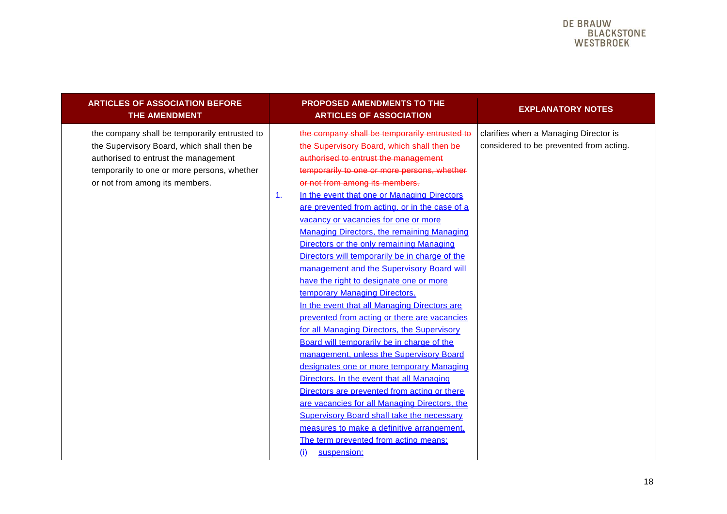| <b>ARTICLES OF ASSOCIATION BEFORE</b><br><b>THE AMENDMENT</b>                                                                                                                                                        | <b>PROPOSED AMENDMENTS TO THE</b><br><b>ARTICLES OF ASSOCIATION</b>                                                                                                                                                                                                                                                                                                                                                                                                                                                                                                                                                                                                                                                                                                                                                                                                                                                                                                                                                                                                                                                                                                                                                                                               | <b>EXPLANATORY NOTES</b>                                                         |
|----------------------------------------------------------------------------------------------------------------------------------------------------------------------------------------------------------------------|-------------------------------------------------------------------------------------------------------------------------------------------------------------------------------------------------------------------------------------------------------------------------------------------------------------------------------------------------------------------------------------------------------------------------------------------------------------------------------------------------------------------------------------------------------------------------------------------------------------------------------------------------------------------------------------------------------------------------------------------------------------------------------------------------------------------------------------------------------------------------------------------------------------------------------------------------------------------------------------------------------------------------------------------------------------------------------------------------------------------------------------------------------------------------------------------------------------------------------------------------------------------|----------------------------------------------------------------------------------|
| the company shall be temporarily entrusted to<br>the Supervisory Board, which shall then be<br>authorised to entrust the management<br>temporarily to one or more persons, whether<br>or not from among its members. | the company shall be temporarily entrusted to<br>the Supervisory Board, which shall then be<br>authorised to entrust the management<br>temporarily to one or more persons, whether<br>or not from among its members.<br>In the event that one or Managing Directors<br>$\mathbf{1}$ .<br>are prevented from acting, or in the case of a<br>vacancy or vacancies for one or more<br><b>Managing Directors, the remaining Managing</b><br>Directors or the only remaining Managing<br>Directors will temporarily be in charge of the<br>management and the Supervisory Board will<br>have the right to designate one or more<br>temporary Managing Directors.<br>In the event that all Managing Directors are<br>prevented from acting or there are vacancies<br>for all Managing Directors, the Supervisory<br>Board will temporarily be in charge of the<br>management, unless the Supervisory Board<br>designates one or more temporary Managing<br>Directors. In the event that all Managing<br>Directors are prevented from acting or there<br>are vacancies for all Managing Directors, the<br><b>Supervisory Board shall take the necessary</b><br>measures to make a definitive arrangement.<br>The term prevented from acting means:<br>suspension;<br>(i) | clarifies when a Managing Director is<br>considered to be prevented from acting. |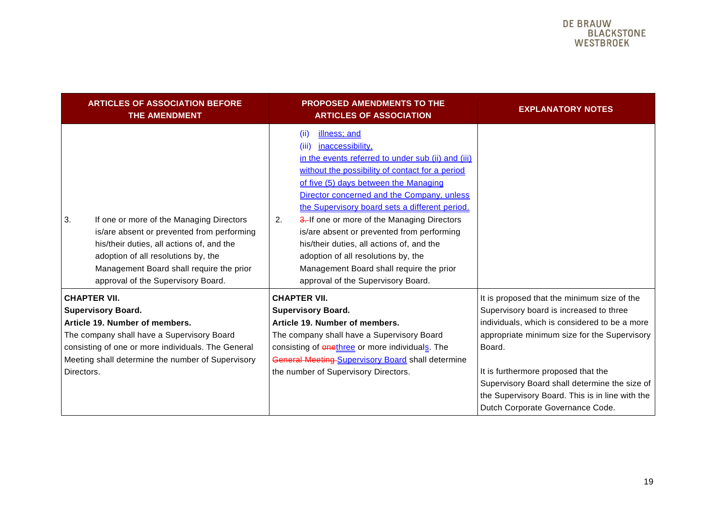|                                                                                                                                                                                                                                                           | <b>ARTICLES OF ASSOCIATION BEFORE</b><br>THE AMENDMENT                                                                                                                                                                                                       | <b>PROPOSED AMENDMENTS TO THE</b><br><b>ARTICLES OF ASSOCIATION</b>                                                                                                                                                                                                                                                                                                                                                                                                                                                                                                          | <b>EXPLANATORY NOTES</b>                                                                                                                                                                                                                                                                                                                                                         |
|-----------------------------------------------------------------------------------------------------------------------------------------------------------------------------------------------------------------------------------------------------------|--------------------------------------------------------------------------------------------------------------------------------------------------------------------------------------------------------------------------------------------------------------|------------------------------------------------------------------------------------------------------------------------------------------------------------------------------------------------------------------------------------------------------------------------------------------------------------------------------------------------------------------------------------------------------------------------------------------------------------------------------------------------------------------------------------------------------------------------------|----------------------------------------------------------------------------------------------------------------------------------------------------------------------------------------------------------------------------------------------------------------------------------------------------------------------------------------------------------------------------------|
| 3.                                                                                                                                                                                                                                                        | If one or more of the Managing Directors<br>is/are absent or prevented from performing<br>his/their duties, all actions of, and the<br>adoption of all resolutions by, the<br>Management Board shall require the prior<br>approval of the Supervisory Board. | illness; and<br>(ii)<br>inaccessibility,<br>(iii)<br>in the events referred to under sub (ii) and (iii)<br>without the possibility of contact for a period<br>of five (5) days between the Managing<br>Director concerned and the Company, unless<br>the Supervisory board sets a different period.<br>3. If one or more of the Managing Directors<br>2.<br>is/are absent or prevented from performing<br>his/their duties, all actions of, and the<br>adoption of all resolutions by, the<br>Management Board shall require the prior<br>approval of the Supervisory Board. |                                                                                                                                                                                                                                                                                                                                                                                  |
| <b>CHAPTER VII.</b><br><b>Supervisory Board.</b><br>Article 19. Number of members.<br>The company shall have a Supervisory Board<br>consisting of one or more individuals. The General<br>Meeting shall determine the number of Supervisory<br>Directors. |                                                                                                                                                                                                                                                              | <b>CHAPTER VII.</b><br><b>Supervisory Board.</b><br>Article 19. Number of members.<br>The company shall have a Supervisory Board<br>consisting of <b>enethree</b> or more individuals. The<br>General Meeting-Supervisory Board shall determine<br>the number of Supervisory Directors.                                                                                                                                                                                                                                                                                      | It is proposed that the minimum size of the<br>Supervisory board is increased to three<br>individuals, which is considered to be a more<br>appropriate minimum size for the Supervisory<br>Board.<br>It is furthermore proposed that the<br>Supervisory Board shall determine the size of<br>the Supervisory Board. This is in line with the<br>Dutch Corporate Governance Code. |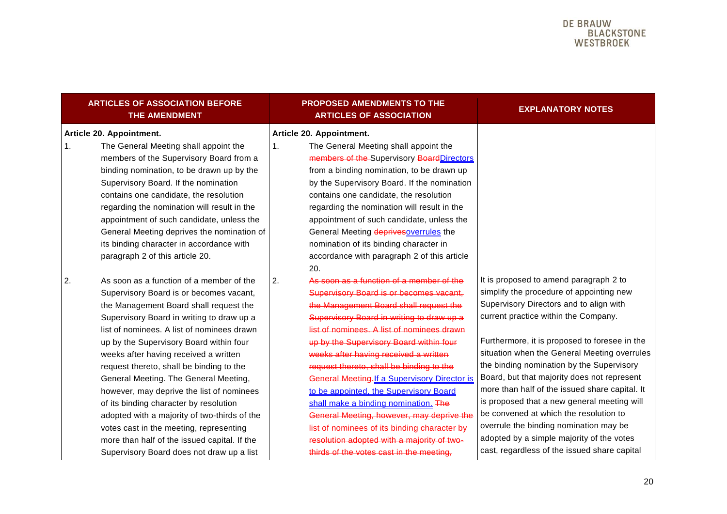| <b>ARTICLES OF ASSOCIATION BEFORE</b><br><b>THE AMENDMENT</b>                                                                                                                                                                                                                                                                                                                                                                                                                                                                                                                                                                                                                          | <b>PROPOSED AMENDMENTS TO THE</b><br><b>ARTICLES OF ASSOCIATION</b>                                                                                                                                                                                                                                                                                                                                                                                                                                                                                                                                                                                                                                    | <b>EXPLANATORY NOTES</b>                                                                                                                                                                                                                                                                                                                                                                                                                                                                                                                                                                                                                             |
|----------------------------------------------------------------------------------------------------------------------------------------------------------------------------------------------------------------------------------------------------------------------------------------------------------------------------------------------------------------------------------------------------------------------------------------------------------------------------------------------------------------------------------------------------------------------------------------------------------------------------------------------------------------------------------------|--------------------------------------------------------------------------------------------------------------------------------------------------------------------------------------------------------------------------------------------------------------------------------------------------------------------------------------------------------------------------------------------------------------------------------------------------------------------------------------------------------------------------------------------------------------------------------------------------------------------------------------------------------------------------------------------------------|------------------------------------------------------------------------------------------------------------------------------------------------------------------------------------------------------------------------------------------------------------------------------------------------------------------------------------------------------------------------------------------------------------------------------------------------------------------------------------------------------------------------------------------------------------------------------------------------------------------------------------------------------|
| Article 20. Appointment.<br>1.<br>The General Meeting shall appoint the<br>members of the Supervisory Board from a<br>binding nomination, to be drawn up by the<br>Supervisory Board. If the nomination<br>contains one candidate, the resolution<br>regarding the nomination will result in the<br>appointment of such candidate, unless the<br>General Meeting deprives the nomination of<br>its binding character in accordance with<br>paragraph 2 of this article 20.                                                                                                                                                                                                             | Article 20. Appointment.<br>1 <sub>1</sub><br>The General Meeting shall appoint the<br>members of the Supervisory Board Directors<br>from a binding nomination, to be drawn up<br>by the Supervisory Board. If the nomination<br>contains one candidate, the resolution<br>regarding the nomination will result in the<br>appointment of such candidate, unless the<br>General Meeting deprives overrules the<br>nomination of its binding character in<br>accordance with paragraph 2 of this article<br>20.                                                                                                                                                                                          |                                                                                                                                                                                                                                                                                                                                                                                                                                                                                                                                                                                                                                                      |
| As soon as a function of a member of the<br>2.<br>Supervisory Board is or becomes vacant,<br>the Management Board shall request the<br>Supervisory Board in writing to draw up a<br>list of nominees. A list of nominees drawn<br>up by the Supervisory Board within four<br>weeks after having received a written<br>request thereto, shall be binding to the<br>General Meeting. The General Meeting,<br>however, may deprive the list of nominees<br>of its binding character by resolution<br>adopted with a majority of two-thirds of the<br>votes cast in the meeting, representing<br>more than half of the issued capital. If the<br>Supervisory Board does not draw up a list | As soon as a function of a member of the<br>2.<br><b>Supervisory Board is or becomes vacant,</b><br>the Management Board shall request the<br>Supervisory Board in writing to draw up a<br>list of nominees. A list of nominees drawn<br>up by the Supervisory Board within four<br>weeks after having received a written<br>request thereto, shall be binding to the<br><b>General Meeting. If a Supervisory Director is</b><br>to be appointed, the Supervisory Board<br>shall make a binding nomination. The<br>General Meeting, however, may deprive the<br>list of nominees of its binding character by<br>resolution adopted with a majority of two-<br>thirds of the votes cast in the meeting. | It is proposed to amend paragraph 2 to<br>simplify the procedure of appointing new<br>Supervisory Directors and to align with<br>current practice within the Company.<br>Furthermore, it is proposed to foresee in the<br>situation when the General Meeting overrules<br>the binding nomination by the Supervisory<br>Board, but that majority does not represent<br>more than half of the issued share capital. It<br>is proposed that a new general meeting will<br>be convened at which the resolution to<br>overrule the binding nomination may be<br>adopted by a simple majority of the votes<br>cast, regardless of the issued share capital |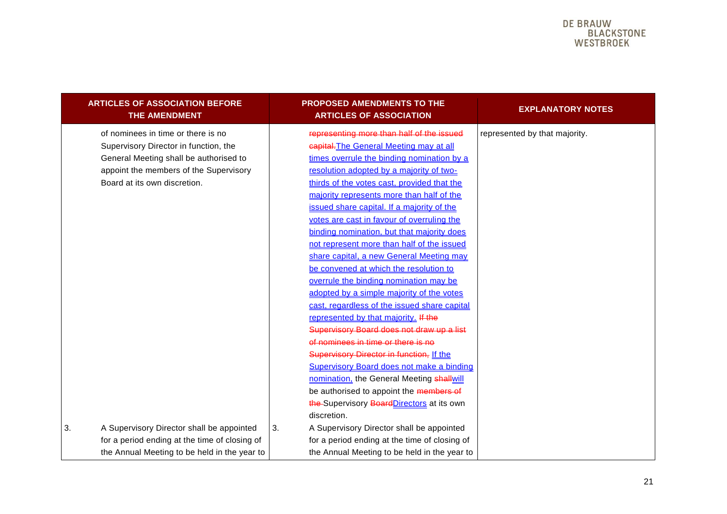<span id="page-20-0"></span>

| <b>ARTICLES OF ASSOCIATION BEFORE</b><br><b>THE AMENDMENT</b>                                                                                                                                   | <b>PROPOSED AMENDMENTS TO THE</b><br><b>ARTICLES OF ASSOCIATION</b>                                                                                                                                                                                                                                                                                                                                                                                                                                                                                                                                                                                                                                                                                                                                                                                                                                                                                                                                                                                                             | <b>EXPLANATORY NOTES</b>      |
|-------------------------------------------------------------------------------------------------------------------------------------------------------------------------------------------------|---------------------------------------------------------------------------------------------------------------------------------------------------------------------------------------------------------------------------------------------------------------------------------------------------------------------------------------------------------------------------------------------------------------------------------------------------------------------------------------------------------------------------------------------------------------------------------------------------------------------------------------------------------------------------------------------------------------------------------------------------------------------------------------------------------------------------------------------------------------------------------------------------------------------------------------------------------------------------------------------------------------------------------------------------------------------------------|-------------------------------|
| of nominees in time or there is no<br>Supervisory Director in function, the<br>General Meeting shall be authorised to<br>appoint the members of the Supervisory<br>Board at its own discretion. | representing more than half of the issued<br>capital. The General Meeting may at all<br>times overrule the binding nomination by a<br>resolution adopted by a majority of two-<br>thirds of the votes cast, provided that the<br>majority represents more than half of the<br>issued share capital. If a majority of the<br>votes are cast in favour of overruling the<br>binding nomination, but that majority does<br>not represent more than half of the issued<br>share capital, a new General Meeting may<br>be convened at which the resolution to<br>overrule the binding nomination may be<br>adopted by a simple majority of the votes<br>cast, regardless of the issued share capital<br>represented by that majority. If the<br>Supervisory Board does not draw up a list<br>of nominees in time or there is no<br>Supervisory Director in function, If the<br><b>Supervisory Board does not make a binding</b><br>nomination, the General Meeting shallwill<br>be authorised to appoint the members of<br>the-Supervisory Board Directors at its own<br>discretion. | represented by that majority. |
| A Supervisory Director shall be appointed<br>3.<br>for a period ending at the time of closing of<br>the Annual Meeting to be held in the year to                                                | 3.<br>A Supervisory Director shall be appointed<br>for a period ending at the time of closing of<br>the Annual Meeting to be held in the year to                                                                                                                                                                                                                                                                                                                                                                                                                                                                                                                                                                                                                                                                                                                                                                                                                                                                                                                                |                               |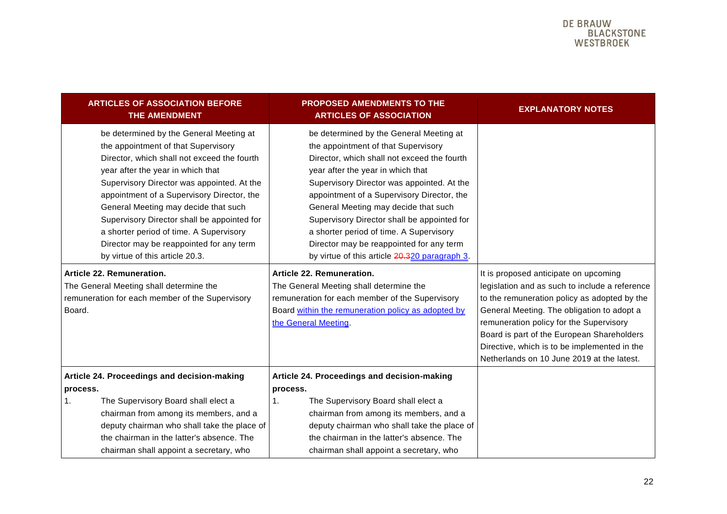| <b>ARTICLES OF ASSOCIATION BEFORE</b><br>THE AMENDMENT                                                                                                                                                                                                                                                                                                                                                                                                                          | <b>PROPOSED AMENDMENTS TO THE</b><br><b>ARTICLES OF ASSOCIATION</b>                                                                                                                                                                                                                                                                                                                                                                                                                           | <b>EXPLANATORY NOTES</b>                                                                                                                                                                                                                                                                                                                                                     |
|---------------------------------------------------------------------------------------------------------------------------------------------------------------------------------------------------------------------------------------------------------------------------------------------------------------------------------------------------------------------------------------------------------------------------------------------------------------------------------|-----------------------------------------------------------------------------------------------------------------------------------------------------------------------------------------------------------------------------------------------------------------------------------------------------------------------------------------------------------------------------------------------------------------------------------------------------------------------------------------------|------------------------------------------------------------------------------------------------------------------------------------------------------------------------------------------------------------------------------------------------------------------------------------------------------------------------------------------------------------------------------|
| be determined by the General Meeting at<br>the appointment of that Supervisory<br>Director, which shall not exceed the fourth<br>year after the year in which that<br>Supervisory Director was appointed. At the<br>appointment of a Supervisory Director, the<br>General Meeting may decide that such<br>Supervisory Director shall be appointed for<br>a shorter period of time. A Supervisory<br>Director may be reappointed for any term<br>by virtue of this article 20.3. | be determined by the General Meeting at<br>the appointment of that Supervisory<br>Director, which shall not exceed the fourth<br>year after the year in which that<br>Supervisory Director was appointed. At the<br>appointment of a Supervisory Director, the<br>General Meeting may decide that such<br>Supervisory Director shall be appointed for<br>a shorter period of time. A Supervisory<br>Director may be reappointed for any term<br>by virtue of this article 20.320 paragraph 3. |                                                                                                                                                                                                                                                                                                                                                                              |
| Article 22. Remuneration.<br>The General Meeting shall determine the<br>remuneration for each member of the Supervisory<br>Board.                                                                                                                                                                                                                                                                                                                                               | Article 22. Remuneration.<br>The General Meeting shall determine the<br>remuneration for each member of the Supervisory<br>Board within the remuneration policy as adopted by<br>the General Meeting.                                                                                                                                                                                                                                                                                         | It is proposed anticipate on upcoming<br>legislation and as such to include a reference<br>to the remuneration policy as adopted by the<br>General Meeting. The obligation to adopt a<br>remuneration policy for the Supervisory<br>Board is part of the European Shareholders<br>Directive, which is to be implemented in the<br>Netherlands on 10 June 2019 at the latest. |
| Article 24. Proceedings and decision-making<br>process.<br>The Supervisory Board shall elect a<br>1.<br>chairman from among its members, and a<br>deputy chairman who shall take the place of<br>the chairman in the latter's absence. The<br>chairman shall appoint a secretary, who                                                                                                                                                                                           | Article 24. Proceedings and decision-making<br>process.<br>The Supervisory Board shall elect a<br>1.<br>chairman from among its members, and a<br>deputy chairman who shall take the place of<br>the chairman in the latter's absence. The<br>chairman shall appoint a secretary, who                                                                                                                                                                                                         |                                                                                                                                                                                                                                                                                                                                                                              |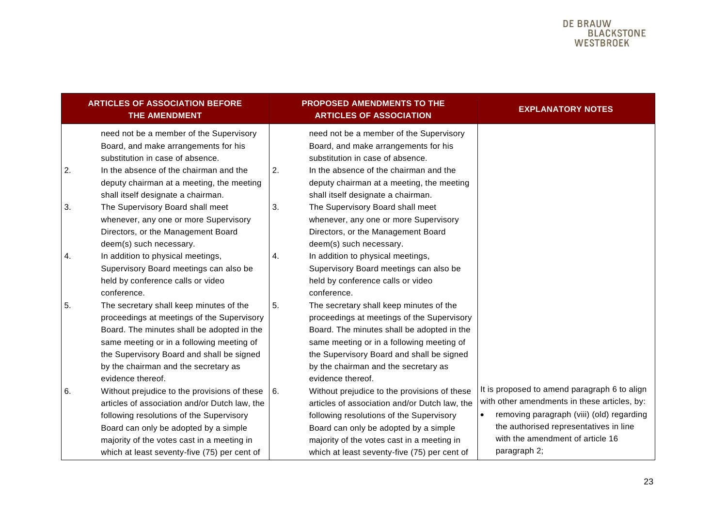<span id="page-22-0"></span>

|    | <b>ARTICLES OF ASSOCIATION BEFORE</b><br><b>THE AMENDMENT</b>                                                                                                                                                                                                                                         |    | PROPOSED AMENDMENTS TO THE<br><b>ARTICLES OF ASSOCIATION</b>                                                                                                                                                                                                                                          | <b>EXPLANATORY NOTES</b>                                                                                                                                                                                                                |
|----|-------------------------------------------------------------------------------------------------------------------------------------------------------------------------------------------------------------------------------------------------------------------------------------------------------|----|-------------------------------------------------------------------------------------------------------------------------------------------------------------------------------------------------------------------------------------------------------------------------------------------------------|-----------------------------------------------------------------------------------------------------------------------------------------------------------------------------------------------------------------------------------------|
|    | need not be a member of the Supervisory<br>Board, and make arrangements for his<br>substitution in case of absence.                                                                                                                                                                                   |    | need not be a member of the Supervisory<br>Board, and make arrangements for his<br>substitution in case of absence.                                                                                                                                                                                   |                                                                                                                                                                                                                                         |
| 2. | In the absence of the chairman and the<br>deputy chairman at a meeting, the meeting<br>shall itself designate a chairman.                                                                                                                                                                             | 2. | In the absence of the chairman and the<br>deputy chairman at a meeting, the meeting<br>shall itself designate a chairman.                                                                                                                                                                             |                                                                                                                                                                                                                                         |
| 3. | The Supervisory Board shall meet<br>whenever, any one or more Supervisory<br>Directors, or the Management Board<br>deem(s) such necessary.                                                                                                                                                            | 3. | The Supervisory Board shall meet<br>whenever, any one or more Supervisory<br>Directors, or the Management Board<br>deem(s) such necessary.                                                                                                                                                            |                                                                                                                                                                                                                                         |
| 4. | In addition to physical meetings,<br>Supervisory Board meetings can also be<br>held by conference calls or video<br>conference.                                                                                                                                                                       | 4. | In addition to physical meetings,<br>Supervisory Board meetings can also be<br>held by conference calls or video<br>conference.                                                                                                                                                                       |                                                                                                                                                                                                                                         |
| 5. | The secretary shall keep minutes of the<br>proceedings at meetings of the Supervisory<br>Board. The minutes shall be adopted in the<br>same meeting or in a following meeting of<br>the Supervisory Board and shall be signed<br>by the chairman and the secretary as                                 | 5. | The secretary shall keep minutes of the<br>proceedings at meetings of the Supervisory<br>Board. The minutes shall be adopted in the<br>same meeting or in a following meeting of<br>the Supervisory Board and shall be signed<br>by the chairman and the secretary as                                 |                                                                                                                                                                                                                                         |
| 6. | evidence thereof.<br>Without prejudice to the provisions of these<br>articles of association and/or Dutch law, the<br>following resolutions of the Supervisory<br>Board can only be adopted by a simple<br>majority of the votes cast in a meeting in<br>which at least seventy-five (75) per cent of | 6. | evidence thereof.<br>Without prejudice to the provisions of these<br>articles of association and/or Dutch law, the<br>following resolutions of the Supervisory<br>Board can only be adopted by a simple<br>majority of the votes cast in a meeting in<br>which at least seventy-five (75) per cent of | It is proposed to amend paragraph 6 to align<br>with other amendments in these articles, by:<br>removing paragraph (viii) (old) regarding<br>the authorised representatives in line<br>with the amendment of article 16<br>paragraph 2; |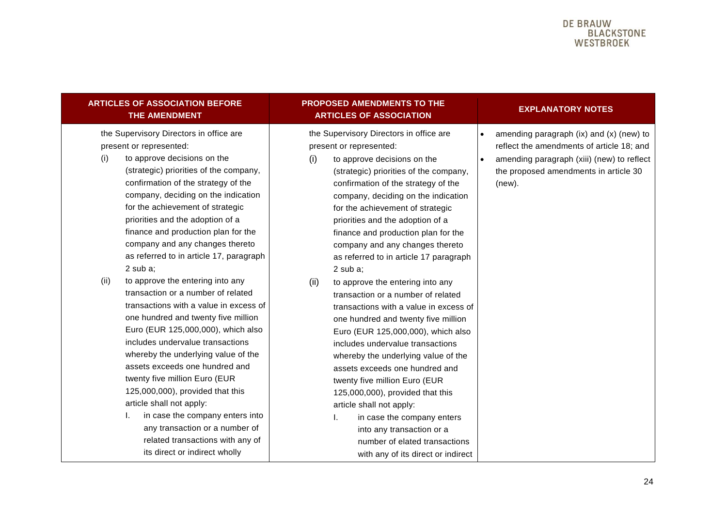| <b>ARTICLES OF ASSOCIATION BEFORE</b><br>THE AMENDMENT                                                                                                                                                                                                                                                                                                                                                                                                                                                                        | PROPOSED AMENDMENTS TO THE<br><b>ARTICLES OF ASSOCIATION</b>                                                                                                                                                                                                                                                                                                                                                                                                                                                                 | <b>EXPLANATORY NOTES</b>                                                                                                                                                                                         |
|-------------------------------------------------------------------------------------------------------------------------------------------------------------------------------------------------------------------------------------------------------------------------------------------------------------------------------------------------------------------------------------------------------------------------------------------------------------------------------------------------------------------------------|------------------------------------------------------------------------------------------------------------------------------------------------------------------------------------------------------------------------------------------------------------------------------------------------------------------------------------------------------------------------------------------------------------------------------------------------------------------------------------------------------------------------------|------------------------------------------------------------------------------------------------------------------------------------------------------------------------------------------------------------------|
| the Supervisory Directors in office are<br>present or represented:<br>to approve decisions on the<br>(i)<br>(strategic) priorities of the company,<br>confirmation of the strategy of the<br>company, deciding on the indication<br>for the achievement of strategic<br>priorities and the adoption of a<br>finance and production plan for the<br>company and any changes thereto<br>as referred to in article 17, paragraph<br>$2$ sub a;<br>to approve the entering into any<br>(ii)<br>transaction or a number of related | the Supervisory Directors in office are<br>present or represented:<br>(i)<br>to approve decisions on the<br>(strategic) priorities of the company,<br>confirmation of the strategy of the<br>company, deciding on the indication<br>for the achievement of strategic<br>priorities and the adoption of a<br>finance and production plan for the<br>company and any changes thereto<br>as referred to in article 17 paragraph<br>$2$ sub a;<br>(ii)<br>to approve the entering into any<br>transaction or a number of related | amending paragraph (ix) and (x) (new) to<br>$\bullet$<br>reflect the amendments of article 18; and<br>amending paragraph (xiii) (new) to reflect<br>$\bullet$<br>the proposed amendments in article 30<br>(new). |
| transactions with a value in excess of<br>one hundred and twenty five million<br>Euro (EUR 125,000,000), which also<br>includes undervalue transactions<br>whereby the underlying value of the<br>assets exceeds one hundred and<br>twenty five million Euro (EUR<br>125,000,000), provided that this<br>article shall not apply:<br>in case the company enters into<br>L.<br>any transaction or a number of<br>related transactions with any of<br>its direct or indirect wholly                                             | transactions with a value in excess of<br>one hundred and twenty five million<br>Euro (EUR 125,000,000), which also<br>includes undervalue transactions<br>whereby the underlying value of the<br>assets exceeds one hundred and<br>twenty five million Euro (EUR<br>125,000,000), provided that this<br>article shall not apply:<br>L.<br>in case the company enters<br>into any transaction or a<br>number of elated transactions<br>with any of its direct or indirect                                                    |                                                                                                                                                                                                                  |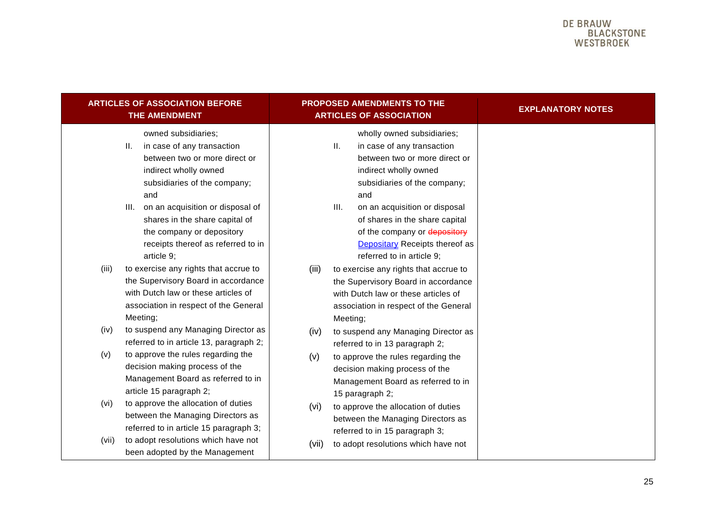|                   | <b>ARTICLES OF ASSOCIATION BEFORE</b><br>THE AMENDMENT                                                                                                                                                                                                                                                         |       | PROPOSED AMENDMENTS TO THE<br><b>ARTICLES OF ASSOCIATION</b>                                                                                                                                                                                                                                                                            |  | <b>EXPLANATORY NOTES</b> |
|-------------------|----------------------------------------------------------------------------------------------------------------------------------------------------------------------------------------------------------------------------------------------------------------------------------------------------------------|-------|-----------------------------------------------------------------------------------------------------------------------------------------------------------------------------------------------------------------------------------------------------------------------------------------------------------------------------------------|--|--------------------------|
| Ш.                | owned subsidiaries;<br>in case of any transaction<br>between two or more direct or<br>indirect wholly owned<br>subsidiaries of the company;<br>and<br>III. on an acquisition or disposal of<br>shares in the share capital of<br>the company or depository<br>receipts thereof as referred to in<br>article 9; |       | wholly owned subsidiaries;<br>Ш.<br>in case of any transaction<br>between two or more direct or<br>indirect wholly owned<br>subsidiaries of the company;<br>and<br>Ш.<br>on an acquisition or disposal<br>of shares in the share capital<br>of the company or depository<br>Depositary Receipts thereof as<br>referred to in article 9; |  |                          |
| (iii)<br>Meeting; | to exercise any rights that accrue to<br>the Supervisory Board in accordance<br>with Dutch law or these articles of<br>association in respect of the General                                                                                                                                                   | (iii) | to exercise any rights that accrue to<br>the Supervisory Board in accordance<br>with Dutch law or these articles of<br>association in respect of the General<br>Meeting;                                                                                                                                                                |  |                          |
| (iv)              | to suspend any Managing Director as<br>referred to in article 13, paragraph 2;                                                                                                                                                                                                                                 | (iv)  | to suspend any Managing Director as<br>referred to in 13 paragraph 2;                                                                                                                                                                                                                                                                   |  |                          |
| (v)               | to approve the rules regarding the<br>decision making process of the<br>Management Board as referred to in<br>article 15 paragraph 2;                                                                                                                                                                          | (v)   | to approve the rules regarding the<br>decision making process of the<br>Management Board as referred to in<br>15 paragraph 2;                                                                                                                                                                                                           |  |                          |
| (vi)              | to approve the allocation of duties<br>between the Managing Directors as<br>referred to in article 15 paragraph 3;                                                                                                                                                                                             | (vi)  | to approve the allocation of duties<br>between the Managing Directors as<br>referred to in 15 paragraph 3;                                                                                                                                                                                                                              |  |                          |
| (vii)             | to adopt resolutions which have not<br>been adopted by the Management                                                                                                                                                                                                                                          | (vii) | to adopt resolutions which have not                                                                                                                                                                                                                                                                                                     |  |                          |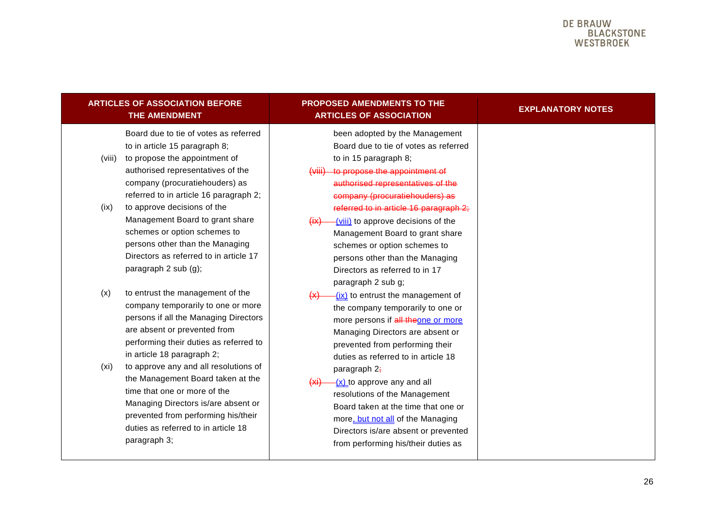| <b>ARTICLES OF ASSOCIATION BEFORE</b><br>THE AMENDMENT                                                                                                                                                                                                  | <b>PROPOSED AMENDMENTS TO THE</b><br><b>ARTICLES OF ASSOCIATION</b>                                                                                                                                                                                              | <b>EXPLANATORY NOTES</b> |
|---------------------------------------------------------------------------------------------------------------------------------------------------------------------------------------------------------------------------------------------------------|------------------------------------------------------------------------------------------------------------------------------------------------------------------------------------------------------------------------------------------------------------------|--------------------------|
| Board due to tie of votes as referred<br>to in article 15 paragraph 8;<br>to propose the appointment of<br>(viii)<br>authorised representatives of the<br>company (procuratiehouders) as<br>referred to in article 16 paragraph 2;                      | been adopted by the Management<br>Board due to tie of votes as referred<br>to in 15 paragraph 8;<br>to propose the appointment of<br><del>(viii)</del><br>authorised representatives of the<br>company (procuratiehouders) as                                    |                          |
| to approve decisions of the<br>(ix)<br>Management Board to grant share<br>schemes or option schemes to<br>persons other than the Managing<br>Directors as referred to in article 17<br>paragraph 2 sub (g);                                             | referred to in article 16 paragraph 2;<br>-(viii) to approve decisions of the<br>$\overline{f(x)}$<br>Management Board to grant share<br>schemes or option schemes to<br>persons other than the Managing<br>Directors as referred to in 17<br>paragraph 2 sub g; |                          |
| to entrust the management of the<br>(x)<br>company temporarily to one or more<br>persons if all the Managing Directors<br>are absent or prevented from<br>performing their duties as referred to<br>in article 18 paragraph 2;                          | (ix) to entrust the management of<br>(x)<br>the company temporarily to one or<br>more persons if all theone or more<br>Managing Directors are absent or<br>prevented from performing their<br>duties as referred to in article 18                                |                          |
| to approve any and all resolutions of<br>(xi)<br>the Management Board taken at the<br>time that one or more of the<br>Managing Directors is/are absent or<br>prevented from performing his/their<br>duties as referred to in article 18<br>paragraph 3; | paragraph 2;<br>$(xi)$ -(x) to approve any and all<br>resolutions of the Management<br>Board taken at the time that one or<br>more, but not all of the Managing<br>Directors is/are absent or prevented<br>from performing his/their duties as                   |                          |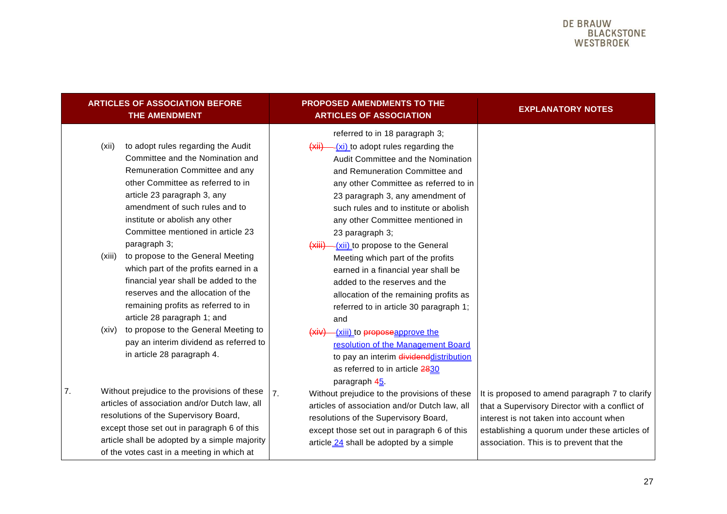<span id="page-26-0"></span>

|    |                          | <b>ARTICLES OF ASSOCIATION BEFORE</b><br>THE AMENDMENT                                                                                                                                                                                                                                                                                                                                                                                                                                                                                                                                                                                                  |                                     | <b>PROPOSED AMENDMENTS TO THE</b><br><b>ARTICLES OF ASSOCIATION</b>                                                                                                                                                                                                                                                                                                                                                                                                                                                                                                                                                                                                                                                        | <b>EXPLANATORY NOTES</b>                                                                                                                                                                                                                 |
|----|--------------------------|---------------------------------------------------------------------------------------------------------------------------------------------------------------------------------------------------------------------------------------------------------------------------------------------------------------------------------------------------------------------------------------------------------------------------------------------------------------------------------------------------------------------------------------------------------------------------------------------------------------------------------------------------------|-------------------------------------|----------------------------------------------------------------------------------------------------------------------------------------------------------------------------------------------------------------------------------------------------------------------------------------------------------------------------------------------------------------------------------------------------------------------------------------------------------------------------------------------------------------------------------------------------------------------------------------------------------------------------------------------------------------------------------------------------------------------------|------------------------------------------------------------------------------------------------------------------------------------------------------------------------------------------------------------------------------------------|
|    | (xii)<br>(xiii)<br>(xiv) | to adopt rules regarding the Audit<br>Committee and the Nomination and<br>Remuneration Committee and any<br>other Committee as referred to in<br>article 23 paragraph 3, any<br>amendment of such rules and to<br>institute or abolish any other<br>Committee mentioned in article 23<br>paragraph 3;<br>to propose to the General Meeting<br>which part of the profits earned in a<br>financial year shall be added to the<br>reserves and the allocation of the<br>remaining profits as referred to in<br>article 28 paragraph 1; and<br>to propose to the General Meeting to<br>pay an interim dividend as referred to<br>in article 28 paragraph 4. | (xii)<br>(xiii)<br><del>(xiv)</del> | referred to in 18 paragraph 3;<br>-(xi) to adopt rules regarding the<br>Audit Committee and the Nomination<br>and Remuneration Committee and<br>any other Committee as referred to in<br>23 paragraph 3, any amendment of<br>such rules and to institute or abolish<br>any other Committee mentioned in<br>23 paragraph 3;<br>-(xii) to propose to the General<br>Meeting which part of the profits<br>earned in a financial year shall be<br>added to the reserves and the<br>allocation of the remaining profits as<br>referred to in article 30 paragraph 1;<br>and<br>-(xiii) to proposeapprove the<br>resolution of the Management Board<br>to pay an interim dividend distribution<br>as referred to in article 2830 |                                                                                                                                                                                                                                          |
| 7. |                          | Without prejudice to the provisions of these<br>articles of association and/or Dutch law, all<br>resolutions of the Supervisory Board,<br>except those set out in paragraph 6 of this<br>article shall be adopted by a simple majority<br>of the votes cast in a meeting in which at                                                                                                                                                                                                                                                                                                                                                                    | 7.                                  | paragraph 45.<br>Without prejudice to the provisions of these<br>articles of association and/or Dutch law, all<br>resolutions of the Supervisory Board,<br>except those set out in paragraph 6 of this<br>article 24 shall be adopted by a simple                                                                                                                                                                                                                                                                                                                                                                                                                                                                          | It is proposed to amend paragraph 7 to clarify<br>that a Supervisory Director with a conflict of<br>interest is not taken into account when<br>establishing a quorum under these articles of<br>association. This is to prevent that the |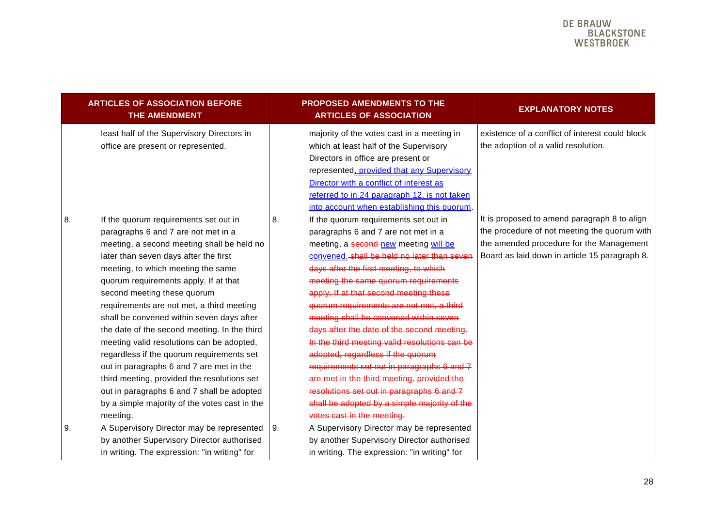|    | <b>ARTICLES OF ASSOCIATION BEFORE</b><br>THE AMENDMENT                                                                                                                                                                                                                                                                                                                                                                                                                                                                                                                                                                                                         |                   | <b>PROPOSED AMENDMENTS TO THE</b><br><b>ARTICLES OF ASSOCIATION</b>                                                                                                                                                                                                                                                                                                                                                                                                                                                                                                                                                                                                 | <b>EXPLANATORY NOTES</b>                                                                                                                                                                  |
|----|----------------------------------------------------------------------------------------------------------------------------------------------------------------------------------------------------------------------------------------------------------------------------------------------------------------------------------------------------------------------------------------------------------------------------------------------------------------------------------------------------------------------------------------------------------------------------------------------------------------------------------------------------------------|-------------------|---------------------------------------------------------------------------------------------------------------------------------------------------------------------------------------------------------------------------------------------------------------------------------------------------------------------------------------------------------------------------------------------------------------------------------------------------------------------------------------------------------------------------------------------------------------------------------------------------------------------------------------------------------------------|-------------------------------------------------------------------------------------------------------------------------------------------------------------------------------------------|
|    | least half of the Supervisory Directors in<br>office are present or represented.                                                                                                                                                                                                                                                                                                                                                                                                                                                                                                                                                                               |                   | majority of the votes cast in a meeting in<br>which at least half of the Supervisory<br>Directors in office are present or<br>represented, provided that any Supervisory<br>Director with a conflict of interest as<br>referred to in 24 paragraph 12, is not taken<br>into account when establishing this quorum.                                                                                                                                                                                                                                                                                                                                                  | existence of a conflict of interest could block<br>the adoption of a valid resolution.                                                                                                    |
| 8. | If the quorum requirements set out in<br>paragraphs 6 and 7 are not met in a<br>meeting, a second meeting shall be held no<br>later than seven days after the first<br>meeting, to which meeting the same<br>quorum requirements apply. If at that<br>second meeting these quorum<br>requirements are not met, a third meeting<br>shall be convened within seven days after<br>the date of the second meeting. In the third<br>meeting valid resolutions can be adopted,<br>regardless if the quorum requirements set<br>out in paragraphs 6 and 7 are met in the<br>third meeting, provided the resolutions set<br>out in paragraphs 6 and 7 shall be adopted | 8.                | If the quorum requirements set out in<br>paragraphs 6 and 7 are not met in a<br>meeting, a second-new meeting will be<br>convened. shall be held no later than seven<br>days after the first meeting, to which<br>meeting the same quorum requirements<br>apply. If at that second meeting these<br>quorum requirements are not met, a third<br>meeting shall be convened within seven<br>days after the date of the second meeting.<br>In the third meeting valid resolutions can be<br>adopted, regardless if the quorum<br>requirements set out in paragraphs 6 and 7<br>are met in the third meeting, provided the<br>resolutions set out in paragraphs 6 and 7 | It is proposed to amend paragraph 8 to align<br>the procedure of not meeting the quorum with<br>the amended procedure for the Management<br>Board as laid down in article 15 paragraph 8. |
| 9. | by a simple majority of the votes cast in the<br>meeting.<br>A Supervisory Director may be represented<br>by another Supervisory Director authorised<br>in writing. The expression: "in writing" for                                                                                                                                                                                                                                                                                                                                                                                                                                                           | $\overline{19}$ . | shall be adopted by a simple majority of the<br>votes cast in the meeting.<br>A Supervisory Director may be represented<br>by another Supervisory Director authorised<br>in writing. The expression: "in writing" for                                                                                                                                                                                                                                                                                                                                                                                                                                               |                                                                                                                                                                                           |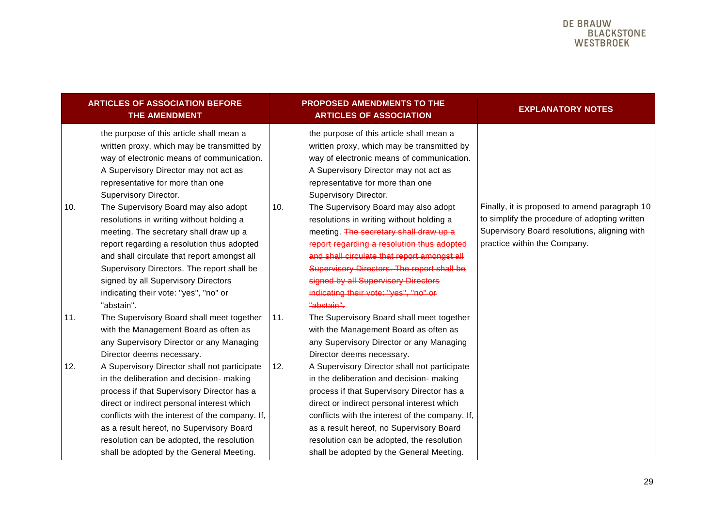|            | <b>ARTICLES OF ASSOCIATION BEFORE</b><br><b>THE AMENDMENT</b>                                                                                                                                                                                                                                                                                                                                                                                                                                                                                                                                                    |            | <b>PROPOSED AMENDMENTS TO THE</b><br><b>ARTICLES OF ASSOCIATION</b>                                                                                                                                                                                                                                                                                                                                                                                                                                                                                                                                              | <b>EXPLANATORY NOTES</b>                                                                                                                                                       |
|------------|------------------------------------------------------------------------------------------------------------------------------------------------------------------------------------------------------------------------------------------------------------------------------------------------------------------------------------------------------------------------------------------------------------------------------------------------------------------------------------------------------------------------------------------------------------------------------------------------------------------|------------|------------------------------------------------------------------------------------------------------------------------------------------------------------------------------------------------------------------------------------------------------------------------------------------------------------------------------------------------------------------------------------------------------------------------------------------------------------------------------------------------------------------------------------------------------------------------------------------------------------------|--------------------------------------------------------------------------------------------------------------------------------------------------------------------------------|
| 10.        | the purpose of this article shall mean a<br>written proxy, which may be transmitted by<br>way of electronic means of communication.<br>A Supervisory Director may not act as<br>representative for more than one<br>Supervisory Director.<br>The Supervisory Board may also adopt<br>resolutions in writing without holding a<br>meeting. The secretary shall draw up a<br>report regarding a resolution thus adopted<br>and shall circulate that report amongst all<br>Supervisory Directors. The report shall be<br>signed by all Supervisory Directors<br>indicating their vote: "yes", "no" or<br>"abstain". | 10.        | the purpose of this article shall mean a<br>written proxy, which may be transmitted by<br>way of electronic means of communication.<br>A Supervisory Director may not act as<br>representative for more than one<br>Supervisory Director.<br>The Supervisory Board may also adopt<br>resolutions in writing without holding a<br>meeting. The secretary shall draw up a<br>report regarding a resolution thus adopted<br>and shall circulate that report amongst all<br>Supervisory Directors. The report shall be<br>signed by all Supervisory Directors<br>indicating their vote: "yes", "no" or<br>"abstain". | Finally, it is proposed to amend paragraph 10<br>to simplify the procedure of adopting written<br>Supervisory Board resolutions, aligning with<br>practice within the Company. |
| 11.<br>12. | The Supervisory Board shall meet together<br>with the Management Board as often as<br>any Supervisory Director or any Managing<br>Director deems necessary.<br>A Supervisory Director shall not participate<br>in the deliberation and decision- making                                                                                                                                                                                                                                                                                                                                                          | 11.<br>12. | The Supervisory Board shall meet together<br>with the Management Board as often as<br>any Supervisory Director or any Managing<br>Director deems necessary.<br>A Supervisory Director shall not participate<br>in the deliberation and decision- making                                                                                                                                                                                                                                                                                                                                                          |                                                                                                                                                                                |
|            | process if that Supervisory Director has a<br>direct or indirect personal interest which<br>conflicts with the interest of the company. If,<br>as a result hereof, no Supervisory Board<br>resolution can be adopted, the resolution<br>shall be adopted by the General Meeting.                                                                                                                                                                                                                                                                                                                                 |            | process if that Supervisory Director has a<br>direct or indirect personal interest which<br>conflicts with the interest of the company. If,<br>as a result hereof, no Supervisory Board<br>resolution can be adopted, the resolution<br>shall be adopted by the General Meeting.                                                                                                                                                                                                                                                                                                                                 |                                                                                                                                                                                |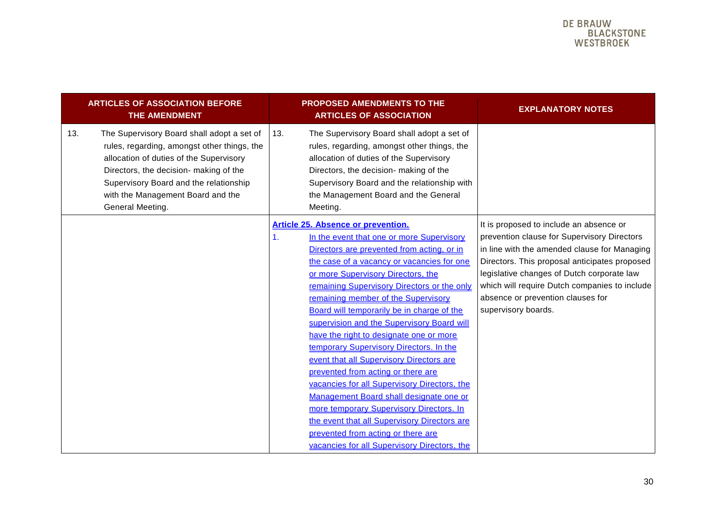| <b>ARTICLES OF ASSOCIATION BEFORE</b><br><b>THE AMENDMENT</b>                                                                                                                                                                                                                            | <b>PROPOSED AMENDMENTS TO THE</b><br><b>ARTICLES OF ASSOCIATION</b>                                                                                                                                                                                                                                                                                                                                                                                                                                                                                                                                                                                                                                                                                                                                                                                                               | <b>EXPLANATORY NOTES</b>                                                                                                                                                                                                                                                                                                                           |
|------------------------------------------------------------------------------------------------------------------------------------------------------------------------------------------------------------------------------------------------------------------------------------------|-----------------------------------------------------------------------------------------------------------------------------------------------------------------------------------------------------------------------------------------------------------------------------------------------------------------------------------------------------------------------------------------------------------------------------------------------------------------------------------------------------------------------------------------------------------------------------------------------------------------------------------------------------------------------------------------------------------------------------------------------------------------------------------------------------------------------------------------------------------------------------------|----------------------------------------------------------------------------------------------------------------------------------------------------------------------------------------------------------------------------------------------------------------------------------------------------------------------------------------------------|
| The Supervisory Board shall adopt a set of<br>13.<br>rules, regarding, amongst other things, the<br>allocation of duties of the Supervisory<br>Directors, the decision- making of the<br>Supervisory Board and the relationship<br>with the Management Board and the<br>General Meeting. | The Supervisory Board shall adopt a set of<br>13.<br>rules, regarding, amongst other things, the<br>allocation of duties of the Supervisory<br>Directors, the decision- making of the<br>Supervisory Board and the relationship with<br>the Management Board and the General<br>Meeting.                                                                                                                                                                                                                                                                                                                                                                                                                                                                                                                                                                                          |                                                                                                                                                                                                                                                                                                                                                    |
|                                                                                                                                                                                                                                                                                          | <b>Article 25. Absence or prevention.</b><br>In the event that one or more Supervisory<br>$\mathbf{1}$ .<br>Directors are prevented from acting, or in<br>the case of a vacancy or vacancies for one<br>or more Supervisory Directors, the<br>remaining Supervisory Directors or the only<br>remaining member of the Supervisory<br>Board will temporarily be in charge of the<br>supervision and the Supervisory Board will<br>have the right to designate one or more<br>temporary Supervisory Directors. In the<br>event that all Supervisory Directors are<br>prevented from acting or there are<br>vacancies for all Supervisory Directors, the<br>Management Board shall designate one or<br>more temporary Supervisory Directors. In<br>the event that all Supervisory Directors are<br>prevented from acting or there are<br>vacancies for all Supervisory Directors, the | It is proposed to include an absence or<br>prevention clause for Supervisory Directors<br>in line with the amended clause for Managing<br>Directors. This proposal anticipates proposed<br>legislative changes of Dutch corporate law<br>which will require Dutch companies to include<br>absence or prevention clauses for<br>supervisory boards. |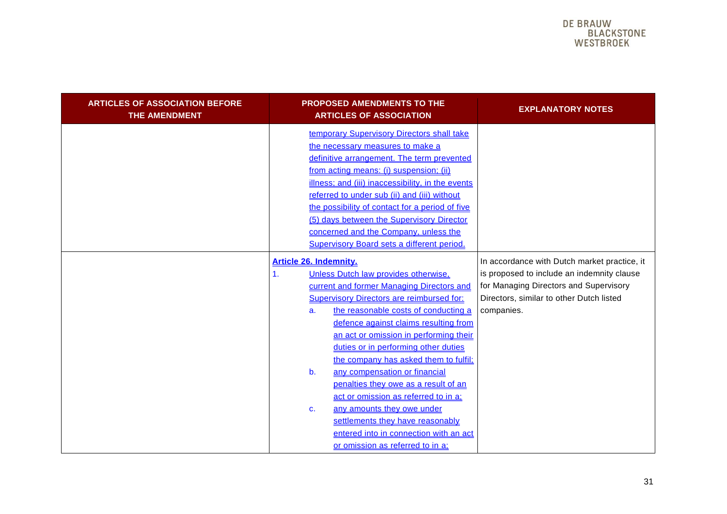<span id="page-30-0"></span>

| <b>ARTICLES OF ASSOCIATION BEFORE</b><br>THE AMENDMENT | <b>PROPOSED AMENDMENTS TO THE</b><br><b>ARTICLES OF ASSOCIATION</b>                                                                                                                                                                                                                                                                                                                                                                                                                                                                                                                                                                                                                          | <b>EXPLANATORY NOTES</b>                                                                                                                                                                       |
|--------------------------------------------------------|----------------------------------------------------------------------------------------------------------------------------------------------------------------------------------------------------------------------------------------------------------------------------------------------------------------------------------------------------------------------------------------------------------------------------------------------------------------------------------------------------------------------------------------------------------------------------------------------------------------------------------------------------------------------------------------------|------------------------------------------------------------------------------------------------------------------------------------------------------------------------------------------------|
|                                                        | temporary Supervisory Directors shall take<br>the necessary measures to make a<br>definitive arrangement. The term prevented<br>from acting means: (i) suspension; (ii)<br>illness; and (iii) inaccessibility, in the events<br>referred to under sub (ii) and (iii) without<br>the possibility of contact for a period of five<br>(5) days between the Supervisory Director<br>concerned and the Company, unless the<br><b>Supervisory Board sets a different period.</b>                                                                                                                                                                                                                   |                                                                                                                                                                                                |
|                                                        | Article 26. Indemnity.<br>Unless Dutch law provides otherwise,<br>$\mathbf{1}$ .<br>current and former Managing Directors and<br><b>Supervisory Directors are reimbursed for:</b><br>the reasonable costs of conducting a<br>a.<br>defence against claims resulting from<br>an act or omission in performing their<br>duties or in performing other duties<br>the company has asked them to fulfil;<br>b.<br>any compensation or financial<br>penalties they owe as a result of an<br>act or omission as referred to in a;<br>any amounts they owe under<br>C <sub>1</sub><br>settlements they have reasonably<br>entered into in connection with an act<br>or omission as referred to in a; | In accordance with Dutch market practice, it<br>is proposed to include an indemnity clause<br>for Managing Directors and Supervisory<br>Directors, similar to other Dutch listed<br>companies. |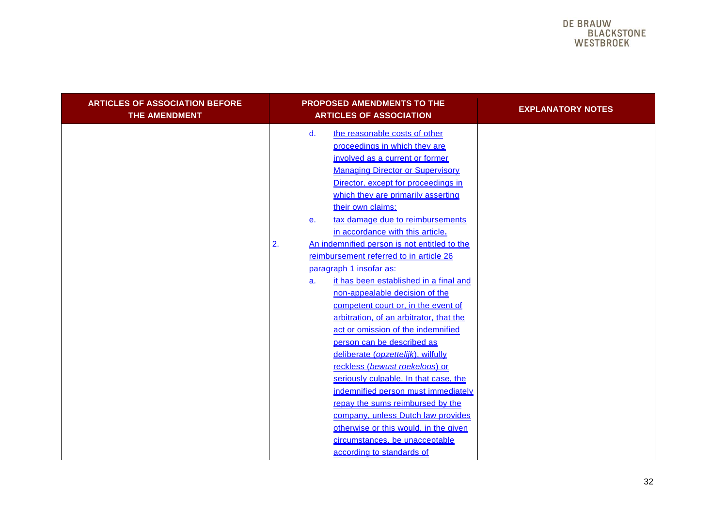| <b>ARTICLES OF ASSOCIATION BEFORE</b><br><b>THE AMENDMENT</b> | PROPOSED AMENDMENTS TO THE<br><b>ARTICLES OF ASSOCIATION</b>                                                                                                                                                                                                                                                                                                                                                                                                                                                                                                                                                                                                                                                                                                                                                                                                                                                                                                                                                                                     | <b>EXPLANATORY NOTES</b> |
|---------------------------------------------------------------|--------------------------------------------------------------------------------------------------------------------------------------------------------------------------------------------------------------------------------------------------------------------------------------------------------------------------------------------------------------------------------------------------------------------------------------------------------------------------------------------------------------------------------------------------------------------------------------------------------------------------------------------------------------------------------------------------------------------------------------------------------------------------------------------------------------------------------------------------------------------------------------------------------------------------------------------------------------------------------------------------------------------------------------------------|--------------------------|
|                                                               | d.<br>the reasonable costs of other<br>proceedings in which they are<br>involved as a current or former<br><b>Managing Director or Supervisory</b><br>Director, except for proceedings in<br>which they are primarily asserting<br>their own claims;<br>tax damage due to reimbursements<br>е.<br>in accordance with this article.<br>An indemnified person is not entitled to the<br>2.<br>reimbursement referred to in article 26<br>paragraph 1 insofar as:<br>it has been established in a final and<br>a.<br>non-appealable decision of the<br>competent court or, in the event of<br>arbitration, of an arbitrator, that the<br>act or omission of the indemnified<br>person can be described as<br>deliberate (opzettelijk), wilfully<br>reckless (bewust roekeloos) or<br>seriously culpable. In that case, the<br>indemnified person must immediately<br>repay the sums reimbursed by the<br>company, unless Dutch law provides<br>otherwise or this would, in the given<br>circumstances, be unacceptable<br>according to standards of |                          |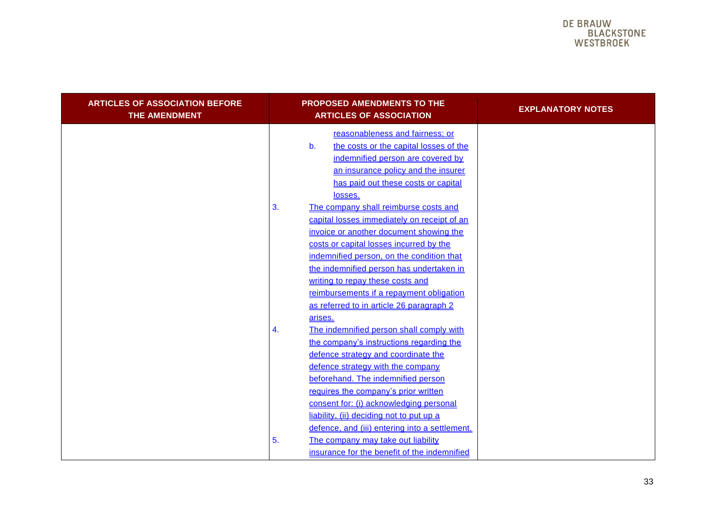| <b>ARTICLES OF ASSOCIATION BEFORE</b><br>THE AMENDMENT | <b>PROPOSED AMENDMENTS TO THE</b><br><b>ARTICLES OF ASSOCIATION</b>                                                                                                                                                                                                                                                                                                                                                                            | <b>EXPLANATORY NOTES</b> |
|--------------------------------------------------------|------------------------------------------------------------------------------------------------------------------------------------------------------------------------------------------------------------------------------------------------------------------------------------------------------------------------------------------------------------------------------------------------------------------------------------------------|--------------------------|
|                                                        | reasonableness and fairness; or<br>the costs or the capital losses of the<br>b.<br>indemnified person are covered by<br>an insurance policy and the insurer<br>has paid out these costs or capital<br>losses.<br>3.<br>The company shall reimburse costs and<br>capital losses immediately on receipt of an<br>invoice or another document showing the<br>costs or capital losses incurred by the<br>indemnified person, on the condition that |                          |
|                                                        | the indemnified person has undertaken in<br>writing to repay these costs and<br>reimbursements if a repayment obligation<br>as referred to in article 26 paragraph 2<br>arises.<br>The indemnified person shall comply with<br>4.<br>the company's instructions regarding the<br>defence strategy and coordinate the<br>defence strategy with the company<br>beforehand. The indemnified person<br>requires the company's prior written        |                          |
|                                                        | consent for: (i) acknowledging personal<br>liability, (ii) deciding not to put up a<br>defence, and (iii) entering into a settlement.<br>The company may take out liability<br>5.<br>insurance for the benefit of the indemnified                                                                                                                                                                                                              |                          |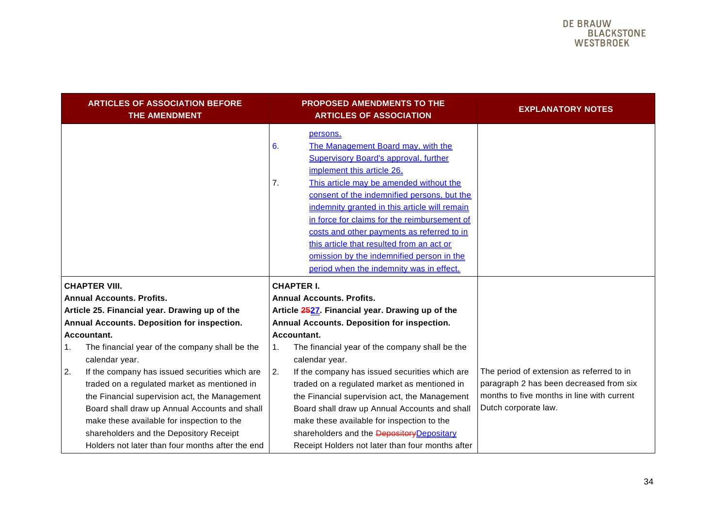<span id="page-33-0"></span>

|    | <b>ARTICLES OF ASSOCIATION BEFORE</b><br>THE AMENDMENT                                                                                                                                                                                         |                                                 | <b>PROPOSED AMENDMENTS TO THE</b><br><b>ARTICLES OF ASSOCIATION</b>                                                                                                                                                                                                     | <b>EXPLANATORY NOTES</b>                                                                                                                                   |
|----|------------------------------------------------------------------------------------------------------------------------------------------------------------------------------------------------------------------------------------------------|-------------------------------------------------|-------------------------------------------------------------------------------------------------------------------------------------------------------------------------------------------------------------------------------------------------------------------------|------------------------------------------------------------------------------------------------------------------------------------------------------------|
|    |                                                                                                                                                                                                                                                | 6.<br>7.                                        | persons.<br>The Management Board may, with the<br><b>Supervisory Board's approval, further</b><br>implement this article 26.<br>This article may be amended without the<br>consent of the indemnified persons, but the<br>indemnity granted in this article will remain |                                                                                                                                                            |
|    |                                                                                                                                                                                                                                                |                                                 | in force for claims for the reimbursement of<br>costs and other payments as referred to in<br>this article that resulted from an act or<br>omission by the indemnified person in the<br>period when the indemnity was in effect.                                        |                                                                                                                                                            |
|    | <b>CHAPTER VIII.</b>                                                                                                                                                                                                                           | <b>CHAPTER I.</b>                               |                                                                                                                                                                                                                                                                         |                                                                                                                                                            |
|    | <b>Annual Accounts. Profits.</b>                                                                                                                                                                                                               | <b>Annual Accounts. Profits.</b>                |                                                                                                                                                                                                                                                                         |                                                                                                                                                            |
|    | Article 25. Financial year. Drawing up of the                                                                                                                                                                                                  | Article 2527. Financial year. Drawing up of the |                                                                                                                                                                                                                                                                         |                                                                                                                                                            |
|    | Annual Accounts. Deposition for inspection.                                                                                                                                                                                                    | Annual Accounts. Deposition for inspection.     |                                                                                                                                                                                                                                                                         |                                                                                                                                                            |
|    | Accountant.                                                                                                                                                                                                                                    |                                                 | Accountant.                                                                                                                                                                                                                                                             |                                                                                                                                                            |
| 1. | The financial year of the company shall be the<br>calendar year.                                                                                                                                                                               | 1.                                              | The financial year of the company shall be the<br>calendar year.                                                                                                                                                                                                        |                                                                                                                                                            |
| 2. | If the company has issued securities which are<br>traded on a regulated market as mentioned in<br>the Financial supervision act, the Management<br>Board shall draw up Annual Accounts and shall<br>make these available for inspection to the | 2.                                              | If the company has issued securities which are<br>traded on a regulated market as mentioned in<br>the Financial supervision act, the Management<br>Board shall draw up Annual Accounts and shall<br>make these available for inspection to the                          | The period of extension as referred to in<br>paragraph 2 has been decreased from six<br>months to five months in line with current<br>Dutch corporate law. |
|    | shareholders and the Depository Receipt<br>Holders not later than four months after the end                                                                                                                                                    |                                                 | shareholders and the Depository Depositary<br>Receipt Holders not later than four months after                                                                                                                                                                          |                                                                                                                                                            |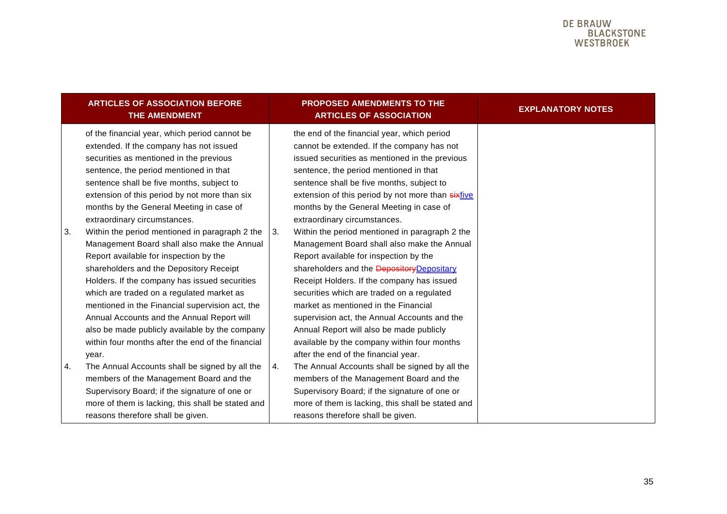|    | <b>ARTICLES OF ASSOCIATION BEFORE</b><br><b>THE AMENDMENT</b>                                                                                                                                                                                                                                                                                                                                                                                                                                     |    | <b>PROPOSED AMENDMENTS TO THE</b><br><b>ARTICLES OF ASSOCIATION</b>                                                                                                                                                                                                                                                                                                                                                                                                                                                 | <b>EXPLANATORY NOTES</b> |
|----|---------------------------------------------------------------------------------------------------------------------------------------------------------------------------------------------------------------------------------------------------------------------------------------------------------------------------------------------------------------------------------------------------------------------------------------------------------------------------------------------------|----|---------------------------------------------------------------------------------------------------------------------------------------------------------------------------------------------------------------------------------------------------------------------------------------------------------------------------------------------------------------------------------------------------------------------------------------------------------------------------------------------------------------------|--------------------------|
|    | of the financial year, which period cannot be<br>extended. If the company has not issued<br>securities as mentioned in the previous<br>sentence, the period mentioned in that<br>sentence shall be five months, subject to<br>extension of this period by not more than six<br>months by the General Meeting in case of<br>extraordinary circumstances.                                                                                                                                           |    | the end of the financial year, which period<br>cannot be extended. If the company has not<br>issued securities as mentioned in the previous<br>sentence, the period mentioned in that<br>sentence shall be five months, subject to<br>extension of this period by not more than sixfive<br>months by the General Meeting in case of<br>extraordinary circumstances.                                                                                                                                                 |                          |
| 3. | Within the period mentioned in paragraph 2 the<br>Management Board shall also make the Annual<br>Report available for inspection by the<br>shareholders and the Depository Receipt<br>Holders. If the company has issued securities<br>which are traded on a regulated market as<br>mentioned in the Financial supervision act, the<br>Annual Accounts and the Annual Report will<br>also be made publicly available by the company<br>within four months after the end of the financial<br>year. | 3. | Within the period mentioned in paragraph 2 the<br>Management Board shall also make the Annual<br>Report available for inspection by the<br>shareholders and the <b>Depository</b> Depositary<br>Receipt Holders. If the company has issued<br>securities which are traded on a regulated<br>market as mentioned in the Financial<br>supervision act, the Annual Accounts and the<br>Annual Report will also be made publicly<br>available by the company within four months<br>after the end of the financial year. |                          |
| 4. | The Annual Accounts shall be signed by all the<br>members of the Management Board and the<br>Supervisory Board; if the signature of one or<br>more of them is lacking, this shall be stated and<br>reasons therefore shall be given.                                                                                                                                                                                                                                                              | 4. | The Annual Accounts shall be signed by all the<br>members of the Management Board and the<br>Supervisory Board; if the signature of one or<br>more of them is lacking, this shall be stated and<br>reasons therefore shall be given.                                                                                                                                                                                                                                                                                |                          |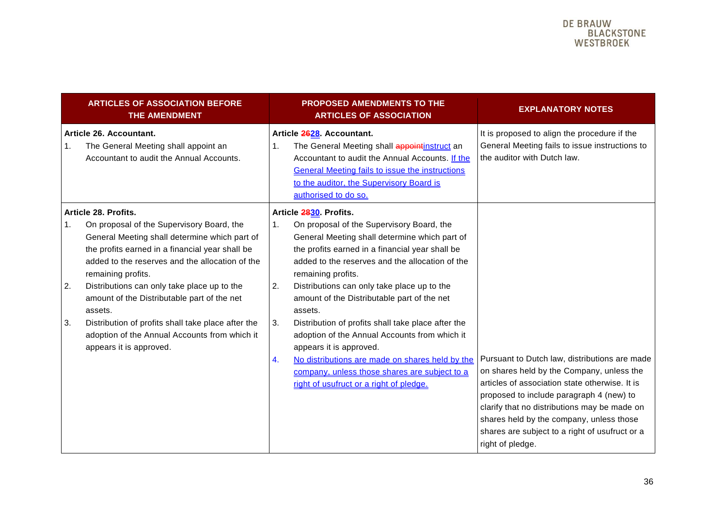| <b>ARTICLES OF ASSOCIATION BEFORE</b><br><b>THE AMENDMENT</b>                                                                                                                                                                                                                                                                                                                                                                                                                                               | <b>PROPOSED AMENDMENTS TO THE</b><br><b>ARTICLES OF ASSOCIATION</b>                                                                                                                                                                                                                                                                                                                                                                                                                                                                                                                                                                                                | <b>EXPLANATORY NOTES</b>                                                                                                                                                                                                                                                             |
|-------------------------------------------------------------------------------------------------------------------------------------------------------------------------------------------------------------------------------------------------------------------------------------------------------------------------------------------------------------------------------------------------------------------------------------------------------------------------------------------------------------|--------------------------------------------------------------------------------------------------------------------------------------------------------------------------------------------------------------------------------------------------------------------------------------------------------------------------------------------------------------------------------------------------------------------------------------------------------------------------------------------------------------------------------------------------------------------------------------------------------------------------------------------------------------------|--------------------------------------------------------------------------------------------------------------------------------------------------------------------------------------------------------------------------------------------------------------------------------------|
| Article 26. Accountant.<br>1.<br>The General Meeting shall appoint an<br>Accountant to audit the Annual Accounts.                                                                                                                                                                                                                                                                                                                                                                                           | Article 2628. Accountant.<br>The General Meeting shall appointinstruct an<br>$\mathbf{1}$ .<br>Accountant to audit the Annual Accounts. If the<br><b>General Meeting fails to issue the instructions</b><br>to the auditor, the Supervisory Board is<br>authorised to do so.                                                                                                                                                                                                                                                                                                                                                                                       | It is proposed to align the procedure if the<br>General Meeting fails to issue instructions to<br>the auditor with Dutch law.                                                                                                                                                        |
| Article 28. Profits.<br>On proposal of the Supervisory Board, the<br>1.<br>General Meeting shall determine which part of<br>the profits earned in a financial year shall be<br>added to the reserves and the allocation of the<br>remaining profits.<br>2.<br>Distributions can only take place up to the<br>amount of the Distributable part of the net<br>assets.<br>3.<br>Distribution of profits shall take place after the<br>adoption of the Annual Accounts from which it<br>appears it is approved. | Article 2830. Profits.<br>On proposal of the Supervisory Board, the<br>1.<br>General Meeting shall determine which part of<br>the profits earned in a financial year shall be<br>added to the reserves and the allocation of the<br>remaining profits.<br>Distributions can only take place up to the<br>2.<br>amount of the Distributable part of the net<br>assets.<br>Distribution of profits shall take place after the<br>3.<br>adoption of the Annual Accounts from which it<br>appears it is approved.<br>No distributions are made on shares held by the<br>4.<br>company, unless those shares are subject to a<br>right of usufruct or a right of pledge. | Pursuant to Dutch law, distributions are made<br>on shares held by the Company, unless the<br>articles of association state otherwise. It is<br>proposed to include paragraph 4 (new) to<br>clarify that no distributions may be made on<br>shares held by the company, unless those |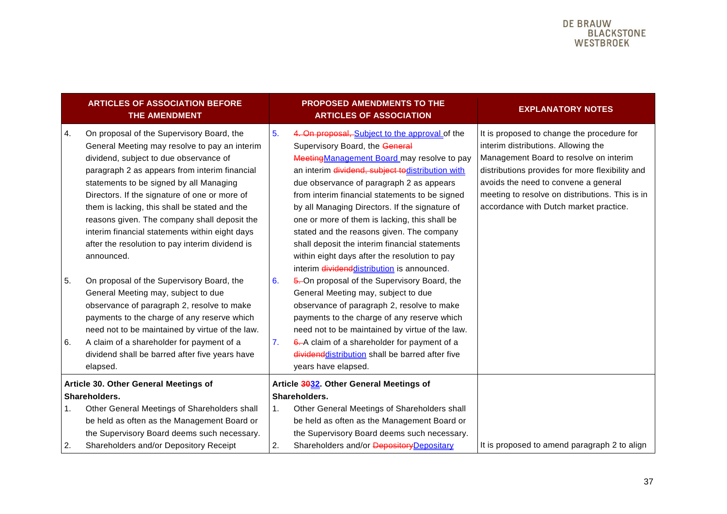|          | <b>ARTICLES OF ASSOCIATION BEFORE</b><br>THE AMENDMENT                                                                                                                                                                                                                                                                                                                                                                                                                                                                                                                                                                                                                                 |          | <b>PROPOSED AMENDMENTS TO THE</b><br><b>ARTICLES OF ASSOCIATION</b>                                                                                                                                                                                                                                                                                                                                                                                                                                                                                                                                                                                                                                                                                                    | <b>EXPLANATORY NOTES</b>                                                                                                                                                                                                                                                                                            |
|----------|----------------------------------------------------------------------------------------------------------------------------------------------------------------------------------------------------------------------------------------------------------------------------------------------------------------------------------------------------------------------------------------------------------------------------------------------------------------------------------------------------------------------------------------------------------------------------------------------------------------------------------------------------------------------------------------|----------|------------------------------------------------------------------------------------------------------------------------------------------------------------------------------------------------------------------------------------------------------------------------------------------------------------------------------------------------------------------------------------------------------------------------------------------------------------------------------------------------------------------------------------------------------------------------------------------------------------------------------------------------------------------------------------------------------------------------------------------------------------------------|---------------------------------------------------------------------------------------------------------------------------------------------------------------------------------------------------------------------------------------------------------------------------------------------------------------------|
| 4.<br>5. | On proposal of the Supervisory Board, the<br>General Meeting may resolve to pay an interim<br>dividend, subject to due observance of<br>paragraph 2 as appears from interim financial<br>statements to be signed by all Managing<br>Directors. If the signature of one or more of<br>them is lacking, this shall be stated and the<br>reasons given. The company shall deposit the<br>interim financial statements within eight days<br>after the resolution to pay interim dividend is<br>announced.<br>On proposal of the Supervisory Board, the<br>General Meeting may, subject to due<br>observance of paragraph 2, resolve to make<br>payments to the charge of any reserve which | 5.<br>6. | 4. On proposal, Subject to the approval of the<br>Supervisory Board, the General<br>Meeting Management Board may resolve to pay<br>an interim dividend, subject todistribution with<br>due observance of paragraph 2 as appears<br>from interim financial statements to be signed<br>by all Managing Directors. If the signature of<br>one or more of them is lacking, this shall be<br>stated and the reasons given. The company<br>shall deposit the interim financial statements<br>within eight days after the resolution to pay<br>interim dividenddistribution is announced.<br>5. On proposal of the Supervisory Board, the<br>General Meeting may, subject to due<br>observance of paragraph 2, resolve to make<br>payments to the charge of any reserve which | It is proposed to change the procedure for<br>interim distributions. Allowing the<br>Management Board to resolve on interim<br>distributions provides for more flexibility and<br>avoids the need to convene a general<br>meeting to resolve on distributions. This is in<br>accordance with Dutch market practice. |
| 6.       | need not to be maintained by virtue of the law.<br>A claim of a shareholder for payment of a<br>dividend shall be barred after five years have<br>elapsed.                                                                                                                                                                                                                                                                                                                                                                                                                                                                                                                             | 7.       | need not to be maintained by virtue of the law.<br>6. A claim of a shareholder for payment of a<br>dividend distribution shall be barred after five<br>years have elapsed.                                                                                                                                                                                                                                                                                                                                                                                                                                                                                                                                                                                             |                                                                                                                                                                                                                                                                                                                     |
|          | Article 30. Other General Meetings of                                                                                                                                                                                                                                                                                                                                                                                                                                                                                                                                                                                                                                                  |          | Article 3032. Other General Meetings of                                                                                                                                                                                                                                                                                                                                                                                                                                                                                                                                                                                                                                                                                                                                |                                                                                                                                                                                                                                                                                                                     |
|          | Shareholders.                                                                                                                                                                                                                                                                                                                                                                                                                                                                                                                                                                                                                                                                          |          | Shareholders.                                                                                                                                                                                                                                                                                                                                                                                                                                                                                                                                                                                                                                                                                                                                                          |                                                                                                                                                                                                                                                                                                                     |
| 1.       | Other General Meetings of Shareholders shall                                                                                                                                                                                                                                                                                                                                                                                                                                                                                                                                                                                                                                           | 1.       | Other General Meetings of Shareholders shall                                                                                                                                                                                                                                                                                                                                                                                                                                                                                                                                                                                                                                                                                                                           |                                                                                                                                                                                                                                                                                                                     |
|          | be held as often as the Management Board or                                                                                                                                                                                                                                                                                                                                                                                                                                                                                                                                                                                                                                            |          | be held as often as the Management Board or                                                                                                                                                                                                                                                                                                                                                                                                                                                                                                                                                                                                                                                                                                                            |                                                                                                                                                                                                                                                                                                                     |
|          | the Supervisory Board deems such necessary.                                                                                                                                                                                                                                                                                                                                                                                                                                                                                                                                                                                                                                            |          | the Supervisory Board deems such necessary.                                                                                                                                                                                                                                                                                                                                                                                                                                                                                                                                                                                                                                                                                                                            |                                                                                                                                                                                                                                                                                                                     |
| 2.       | Shareholders and/or Depository Receipt                                                                                                                                                                                                                                                                                                                                                                                                                                                                                                                                                                                                                                                 | 2.       | Shareholders and/or Depository Depositary                                                                                                                                                                                                                                                                                                                                                                                                                                                                                                                                                                                                                                                                                                                              | It is proposed to amend paragraph 2 to align                                                                                                                                                                                                                                                                        |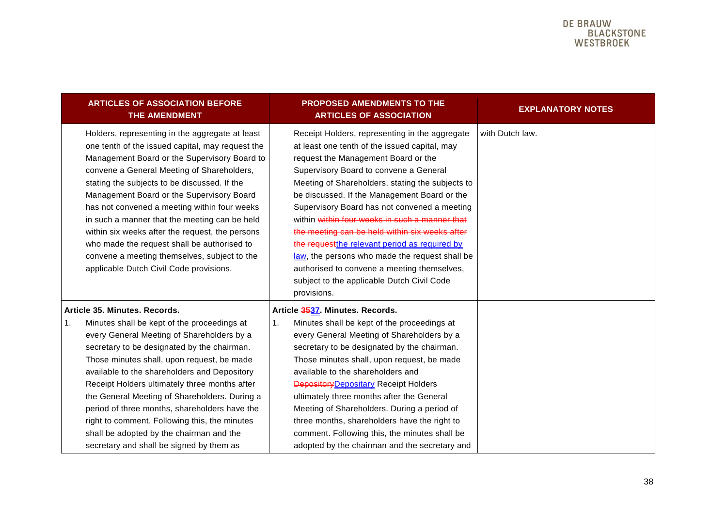| <b>ARTICLES OF ASSOCIATION BEFORE</b><br>THE AMENDMENT                                                                                                                                                                                                                                                                                                                                                                                                                                                                                                                                       | <b>PROPOSED AMENDMENTS TO THE</b><br><b>ARTICLES OF ASSOCIATION</b>                                                                                                                                                                                                                                                                                                                                                                                                                                                                                                                                                                                      | <b>EXPLANATORY NOTES</b> |
|----------------------------------------------------------------------------------------------------------------------------------------------------------------------------------------------------------------------------------------------------------------------------------------------------------------------------------------------------------------------------------------------------------------------------------------------------------------------------------------------------------------------------------------------------------------------------------------------|----------------------------------------------------------------------------------------------------------------------------------------------------------------------------------------------------------------------------------------------------------------------------------------------------------------------------------------------------------------------------------------------------------------------------------------------------------------------------------------------------------------------------------------------------------------------------------------------------------------------------------------------------------|--------------------------|
| Holders, representing in the aggregate at least<br>one tenth of the issued capital, may request the<br>Management Board or the Supervisory Board to<br>convene a General Meeting of Shareholders,<br>stating the subjects to be discussed. If the<br>Management Board or the Supervisory Board<br>has not convened a meeting within four weeks<br>in such a manner that the meeting can be held<br>within six weeks after the request, the persons<br>who made the request shall be authorised to<br>convene a meeting themselves, subject to the<br>applicable Dutch Civil Code provisions. | Receipt Holders, representing in the aggregate<br>at least one tenth of the issued capital, may<br>request the Management Board or the<br>Supervisory Board to convene a General<br>Meeting of Shareholders, stating the subjects to<br>be discussed. If the Management Board or the<br>Supervisory Board has not convened a meeting<br>within within four weeks in such a manner that<br>the meeting can be held within six weeks after<br>the request the relevant period as required by<br>law, the persons who made the request shall be<br>authorised to convene a meeting themselves,<br>subject to the applicable Dutch Civil Code<br>provisions. | with Dutch law.          |
| Article 35. Minutes. Records.<br>Minutes shall be kept of the proceedings at<br>1.<br>every General Meeting of Shareholders by a<br>secretary to be designated by the chairman.<br>Those minutes shall, upon request, be made<br>available to the shareholders and Depository<br>Receipt Holders ultimately three months after<br>the General Meeting of Shareholders. During a<br>period of three months, shareholders have the<br>right to comment. Following this, the minutes<br>shall be adopted by the chairman and the<br>secretary and shall be signed by them as                    | Article 3537. Minutes. Records.<br>Minutes shall be kept of the proceedings at<br>1.<br>every General Meeting of Shareholders by a<br>secretary to be designated by the chairman.<br>Those minutes shall, upon request, be made<br>available to the shareholders and<br><b>Depository</b> Depositary Receipt Holders<br>ultimately three months after the General<br>Meeting of Shareholders. During a period of<br>three months, shareholders have the right to<br>comment. Following this, the minutes shall be<br>adopted by the chairman and the secretary and                                                                                       |                          |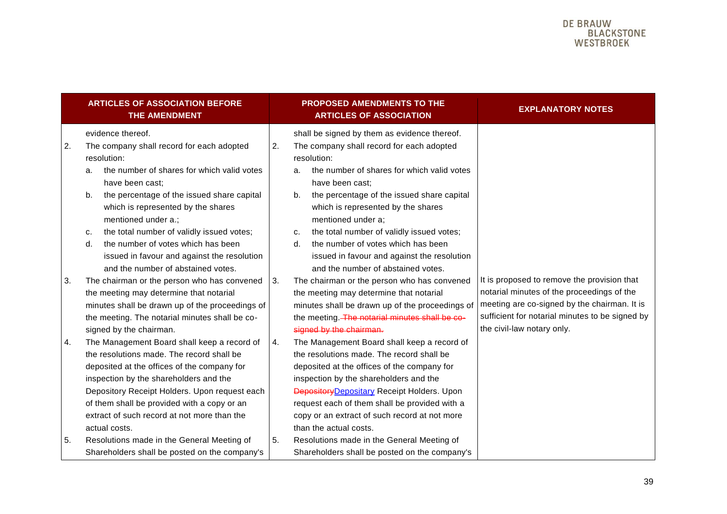<span id="page-38-0"></span>

|    | <b>ARTICLES OF ASSOCIATION BEFORE</b><br>THE AMENDMENT                                                                                                                                                                                                                                                                                                                                                              |    | <b>PROPOSED AMENDMENTS TO THE</b><br><b>ARTICLES OF ASSOCIATION</b>                                                                                                                                                                                                                                                                                                                                                                           | <b>EXPLANATORY NOTES</b>                                                                                                                                                                                                   |
|----|---------------------------------------------------------------------------------------------------------------------------------------------------------------------------------------------------------------------------------------------------------------------------------------------------------------------------------------------------------------------------------------------------------------------|----|-----------------------------------------------------------------------------------------------------------------------------------------------------------------------------------------------------------------------------------------------------------------------------------------------------------------------------------------------------------------------------------------------------------------------------------------------|----------------------------------------------------------------------------------------------------------------------------------------------------------------------------------------------------------------------------|
| 2. | evidence thereof.<br>The company shall record for each adopted<br>resolution:<br>the number of shares for which valid votes<br>a.<br>have been cast;<br>the percentage of the issued share capital<br>b.<br>which is represented by the shares<br>mentioned under a.;<br>the total number of validly issued votes;<br>c.<br>the number of votes which has been<br>d.<br>issued in favour and against the resolution | 2. | shall be signed by them as evidence thereof.<br>The company shall record for each adopted<br>resolution:<br>the number of shares for which valid votes<br>a.<br>have been cast;<br>the percentage of the issued share capital<br>b.<br>which is represented by the shares<br>mentioned under a;<br>the total number of validly issued votes;<br>c.<br>the number of votes which has been<br>d.<br>issued in favour and against the resolution |                                                                                                                                                                                                                            |
| 3. | and the number of abstained votes.<br>The chairman or the person who has convened<br>the meeting may determine that notarial<br>minutes shall be drawn up of the proceedings of<br>the meeting. The notarial minutes shall be co-<br>signed by the chairman.                                                                                                                                                        | 3. | and the number of abstained votes.<br>The chairman or the person who has convened<br>the meeting may determine that notarial<br>minutes shall be drawn up of the proceedings of<br>the meeting. The notarial minutes shall be co-<br>signed by the chairman.                                                                                                                                                                                  | It is proposed to remove the provision that<br>notarial minutes of the proceedings of the<br>meeting are co-signed by the chairman. It is<br>sufficient for notarial minutes to be signed by<br>the civil-law notary only. |
| 4. | The Management Board shall keep a record of<br>the resolutions made. The record shall be<br>deposited at the offices of the company for<br>inspection by the shareholders and the<br>Depository Receipt Holders. Upon request each<br>of them shall be provided with a copy or an<br>extract of such record at not more than the<br>actual costs.                                                                   | 4. | The Management Board shall keep a record of<br>the resolutions made. The record shall be<br>deposited at the offices of the company for<br>inspection by the shareholders and the<br>Depository Depositary Receipt Holders. Upon<br>request each of them shall be provided with a<br>copy or an extract of such record at not more<br>than the actual costs.                                                                                  |                                                                                                                                                                                                                            |
| 5. | Resolutions made in the General Meeting of<br>Shareholders shall be posted on the company's                                                                                                                                                                                                                                                                                                                         | 5. | Resolutions made in the General Meeting of<br>Shareholders shall be posted on the company's                                                                                                                                                                                                                                                                                                                                                   |                                                                                                                                                                                                                            |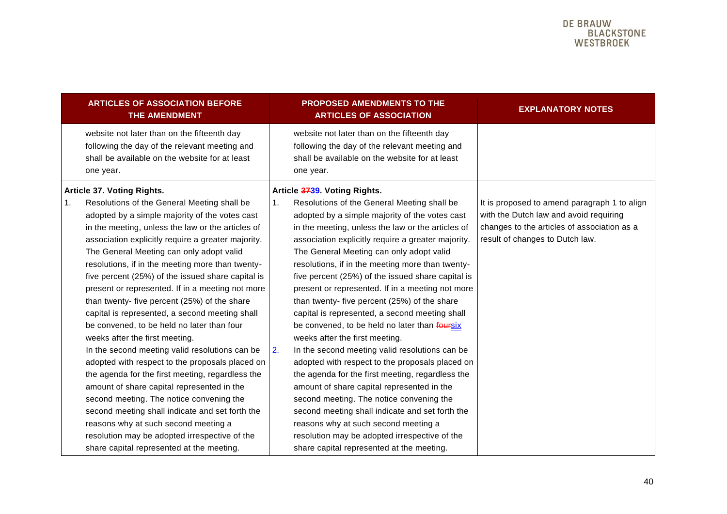|    | <b>ARTICLES OF ASSOCIATION BEFORE</b><br><b>THE AMENDMENT</b>                                                                                                                                                                                                                                                                                                                                                                                                                                                                                        |                | PROPOSED AMENDMENTS TO THE<br><b>ARTICLES OF ASSOCIATION</b>                                                                                                                                                                                                                                                                                                                                                                                                                                                                                            | <b>EXPLANATORY NOTES</b>                                                                                                 |
|----|------------------------------------------------------------------------------------------------------------------------------------------------------------------------------------------------------------------------------------------------------------------------------------------------------------------------------------------------------------------------------------------------------------------------------------------------------------------------------------------------------------------------------------------------------|----------------|---------------------------------------------------------------------------------------------------------------------------------------------------------------------------------------------------------------------------------------------------------------------------------------------------------------------------------------------------------------------------------------------------------------------------------------------------------------------------------------------------------------------------------------------------------|--------------------------------------------------------------------------------------------------------------------------|
|    | website not later than on the fifteenth day<br>following the day of the relevant meeting and<br>shall be available on the website for at least<br>one year.                                                                                                                                                                                                                                                                                                                                                                                          |                | website not later than on the fifteenth day<br>following the day of the relevant meeting and<br>shall be available on the website for at least<br>one year.                                                                                                                                                                                                                                                                                                                                                                                             |                                                                                                                          |
| 1. | Article 37. Voting Rights.<br>Resolutions of the General Meeting shall be                                                                                                                                                                                                                                                                                                                                                                                                                                                                            | $\mathbf{1}$ . | Article 3739. Voting Rights.<br>Resolutions of the General Meeting shall be                                                                                                                                                                                                                                                                                                                                                                                                                                                                             | It is proposed to amend paragraph 1 to align                                                                             |
|    | adopted by a simple majority of the votes cast<br>in the meeting, unless the law or the articles of<br>association explicitly require a greater majority.<br>The General Meeting can only adopt valid<br>resolutions, if in the meeting more than twenty-<br>five percent (25%) of the issued share capital is<br>present or represented. If in a meeting not more<br>than twenty- five percent (25%) of the share<br>capital is represented, a second meeting shall<br>be convened, to be held no later than four<br>weeks after the first meeting. |                | adopted by a simple majority of the votes cast<br>in the meeting, unless the law or the articles of<br>association explicitly require a greater majority.<br>The General Meeting can only adopt valid<br>resolutions, if in the meeting more than twenty-<br>five percent (25%) of the issued share capital is<br>present or represented. If in a meeting not more<br>than twenty- five percent (25%) of the share<br>capital is represented, a second meeting shall<br>be convened, to be held no later than foursix<br>weeks after the first meeting. | with the Dutch law and avoid requiring<br>changes to the articles of association as a<br>result of changes to Dutch law. |
|    | In the second meeting valid resolutions can be<br>adopted with respect to the proposals placed on<br>the agenda for the first meeting, regardless the<br>amount of share capital represented in the<br>second meeting. The notice convening the<br>second meeting shall indicate and set forth the<br>reasons why at such second meeting a<br>resolution may be adopted irrespective of the                                                                                                                                                          | 2.             | In the second meeting valid resolutions can be<br>adopted with respect to the proposals placed on<br>the agenda for the first meeting, regardless the<br>amount of share capital represented in the<br>second meeting. The notice convening the<br>second meeting shall indicate and set forth the<br>reasons why at such second meeting a<br>resolution may be adopted irrespective of the                                                                                                                                                             |                                                                                                                          |
|    | share capital represented at the meeting.                                                                                                                                                                                                                                                                                                                                                                                                                                                                                                            |                | share capital represented at the meeting.                                                                                                                                                                                                                                                                                                                                                                                                                                                                                                               |                                                                                                                          |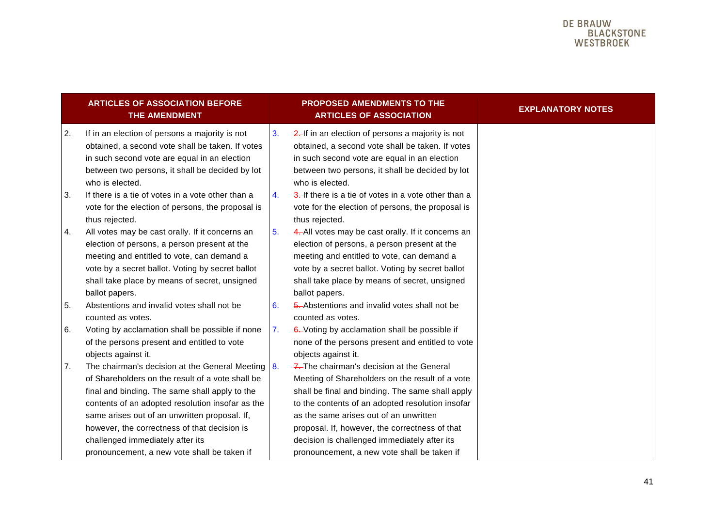|    | <b>ARTICLES OF ASSOCIATION BEFORE</b><br>THE AMENDMENT                                                                                                                                                                                                                                                    |    | <b>PROPOSED AMENDMENTS TO THE</b><br><b>ARTICLES OF ASSOCIATION</b>                                                                                                                                                                                                                              | <b>EXPLANATORY NOTES</b> |
|----|-----------------------------------------------------------------------------------------------------------------------------------------------------------------------------------------------------------------------------------------------------------------------------------------------------------|----|--------------------------------------------------------------------------------------------------------------------------------------------------------------------------------------------------------------------------------------------------------------------------------------------------|--------------------------|
| 2. | If in an election of persons a majority is not<br>obtained, a second vote shall be taken. If votes<br>in such second vote are equal in an election<br>between two persons, it shall be decided by lot<br>who is elected.                                                                                  | 3. | 2. If in an election of persons a majority is not<br>obtained, a second vote shall be taken. If votes<br>in such second vote are equal in an election<br>between two persons, it shall be decided by lot<br>who is elected.                                                                      |                          |
| 3. | If there is a tie of votes in a vote other than a<br>vote for the election of persons, the proposal is<br>thus rejected.                                                                                                                                                                                  | 4. | 3. If there is a tie of votes in a vote other than a<br>vote for the election of persons, the proposal is<br>thus rejected.                                                                                                                                                                      |                          |
| 4. | All votes may be cast orally. If it concerns an<br>election of persons, a person present at the<br>meeting and entitled to vote, can demand a<br>vote by a secret ballot. Voting by secret ballot<br>shall take place by means of secret, unsigned<br>ballot papers.                                      | 5. | 4. All votes may be cast orally. If it concerns an<br>election of persons, a person present at the<br>meeting and entitled to vote, can demand a<br>vote by a secret ballot. Voting by secret ballot<br>shall take place by means of secret, unsigned<br>ballot papers.                          |                          |
| 5. | Abstentions and invalid votes shall not be<br>counted as votes.                                                                                                                                                                                                                                           | 6. | 5. Abstentions and invalid votes shall not be<br>counted as votes.                                                                                                                                                                                                                               |                          |
| 6. | Voting by acclamation shall be possible if none<br>of the persons present and entitled to vote<br>objects against it.                                                                                                                                                                                     | 7. | 6. Voting by acclamation shall be possible if<br>none of the persons present and entitled to vote<br>objects against it.                                                                                                                                                                         |                          |
| 7. | The chairman's decision at the General Meeting<br>of Shareholders on the result of a vote shall be<br>final and binding. The same shall apply to the<br>contents of an adopted resolution insofar as the<br>same arises out of an unwritten proposal. If,<br>however, the correctness of that decision is | 8. | 7. The chairman's decision at the General<br>Meeting of Shareholders on the result of a vote<br>shall be final and binding. The same shall apply<br>to the contents of an adopted resolution insofar<br>as the same arises out of an unwritten<br>proposal. If, however, the correctness of that |                          |
|    | challenged immediately after its<br>pronouncement, a new vote shall be taken if                                                                                                                                                                                                                           |    | decision is challenged immediately after its<br>pronouncement, a new vote shall be taken if                                                                                                                                                                                                      |                          |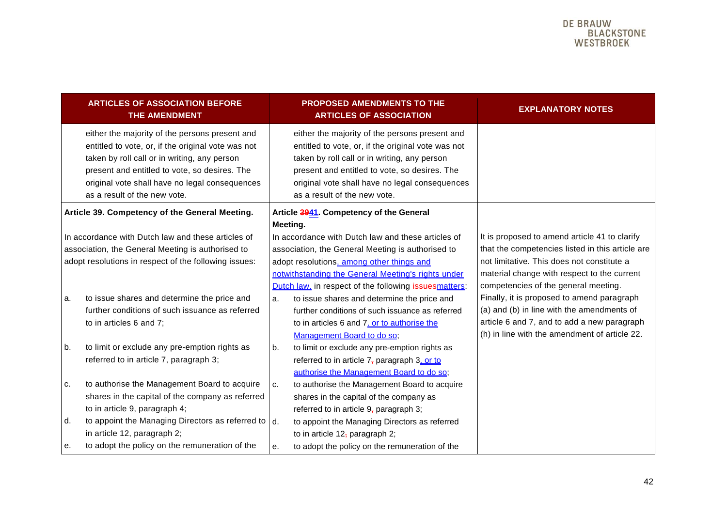| <b>EXPLANATORY NOTES</b>                                                                                                                                                                                                                                                                                                                                                                                                           |
|------------------------------------------------------------------------------------------------------------------------------------------------------------------------------------------------------------------------------------------------------------------------------------------------------------------------------------------------------------------------------------------------------------------------------------|
|                                                                                                                                                                                                                                                                                                                                                                                                                                    |
|                                                                                                                                                                                                                                                                                                                                                                                                                                    |
| It is proposed to amend article 41 to clarify<br>that the competencies listed in this article are<br>not limitative. This does not constitute a<br>material change with respect to the current<br>competencies of the general meeting.<br>Finally, it is proposed to amend paragraph<br>(a) and (b) in line with the amendments of<br>article 6 and 7, and to add a new paragraph<br>(h) in line with the amendment of article 22. |
|                                                                                                                                                                                                                                                                                                                                                                                                                                    |
|                                                                                                                                                                                                                                                                                                                                                                                                                                    |
|                                                                                                                                                                                                                                                                                                                                                                                                                                    |
|                                                                                                                                                                                                                                                                                                                                                                                                                                    |